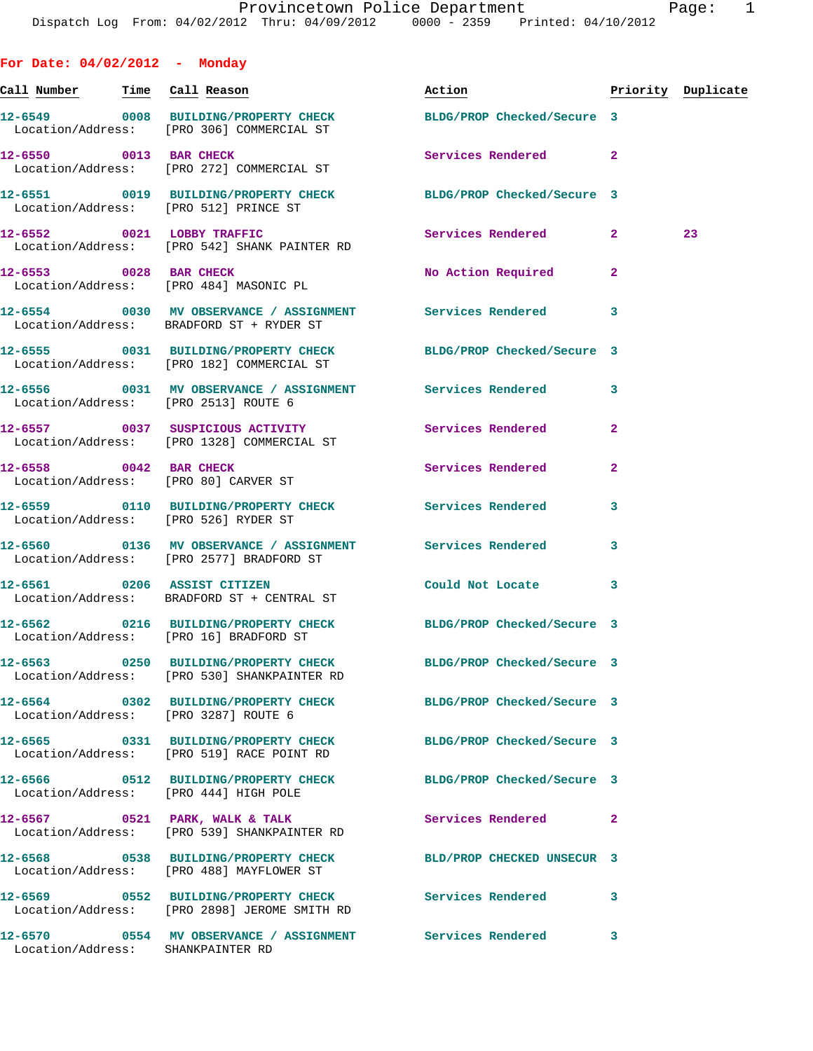| For Date: $04/02/2012$ - Monday   |                                                                                                                |                                                                                                                                                                                                                                |                         |    |
|-----------------------------------|----------------------------------------------------------------------------------------------------------------|--------------------------------------------------------------------------------------------------------------------------------------------------------------------------------------------------------------------------------|-------------------------|----|
| Call Number Time Call Reason      |                                                                                                                | Action and the set of the set of the set of the set of the set of the set of the set of the set of the set of the set of the set of the set of the set of the set of the set of the set of the set of the set of the set of th | Priority Duplicate      |    |
|                                   | 12-6549 0008 BUILDING/PROPERTY CHECK<br>Location/Address: [PRO 306] COMMERCIAL ST                              | BLDG/PROP Checked/Secure 3                                                                                                                                                                                                     |                         |    |
|                                   | 12-6550 0013 BAR CHECK<br>Location/Address: [PRO 272] COMMERCIAL ST                                            | Services Rendered 2                                                                                                                                                                                                            |                         |    |
|                                   | 12-6551 0019 BUILDING/PROPERTY CHECK BLDG/PROP Checked/Secure 3<br>Location/Address: [PRO 512] PRINCE ST       |                                                                                                                                                                                                                                |                         |    |
|                                   | 12-6552 0021 LOBBY TRAFFIC<br>Location/Address: [PRO 542] SHANK PAINTER RD                                     | Services Rendered 2                                                                                                                                                                                                            |                         | 23 |
|                                   | 12-6553 0028 BAR CHECK<br>Location/Address: [PRO 484] MASONIC PL                                               | No Action Required                                                                                                                                                                                                             | $\mathbf{2}$            |    |
|                                   | 12-6554 0030 MV OBSERVANCE / ASSIGNMENT Services Rendered 3<br>Location/Address: BRADFORD ST + RYDER ST        |                                                                                                                                                                                                                                |                         |    |
|                                   | 12-6555 0031 BUILDING/PROPERTY CHECK BLDG/PROP Checked/Secure 3<br>Location/Address: [PRO 182] COMMERCIAL ST   |                                                                                                                                                                                                                                |                         |    |
|                                   | 12-6556 0031 MV OBSERVANCE / ASSIGNMENT Services Rendered 3<br>Location/Address: [PRO 2513] ROUTE 6            |                                                                                                                                                                                                                                |                         |    |
|                                   | 12-6557 0037 SUSPICIOUS ACTIVITY<br>Location/Address: [PRO 1328] COMMERCIAL ST                                 | Services Rendered                                                                                                                                                                                                              | $\mathbf{2}$            |    |
|                                   | 12-6558 0042 BAR CHECK<br>Location/Address: [PRO 80] CARVER ST                                                 | Services Rendered                                                                                                                                                                                                              | $\mathbf{2}$            |    |
|                                   | 12-6559 		 0110 BUILDING/PROPERTY CHECK Services Rendered<br>Location/Address: [PRO 526] RYDER ST              |                                                                                                                                                                                                                                | 3                       |    |
|                                   | 12-6560 0136 MV OBSERVANCE / ASSIGNMENT Services Rendered<br>Location/Address: [PRO 2577] BRADFORD ST          |                                                                                                                                                                                                                                | 3                       |    |
|                                   | 12-6561 0206 ASSIST CITIZEN<br>Location/Address: BRADFORD ST + CENTRAL ST                                      | Could Not Locate                                                                                                                                                                                                               | $\overline{\mathbf{3}}$ |    |
|                                   | 12-6562 0216 BUILDING/PROPERTY CHECK<br>Location/Address: [PRO 16] BRADFORD ST                                 | BLDG/PROP Checked/Secure 3                                                                                                                                                                                                     |                         |    |
|                                   | 12-6563 0250 BUILDING/PROPERTY CHECK BLDG/PROP Checked/Secure 3<br>Location/Address: [PRO 530] SHANKPAINTER RD |                                                                                                                                                                                                                                |                         |    |
|                                   | 12-6564 0302 BUILDING/PROPERTY CHECK BLDG/PROP Checked/Secure 3<br>Location/Address: [PRO 3287] ROUTE 6        |                                                                                                                                                                                                                                |                         |    |
|                                   | 12-6565 0331 BUILDING/PROPERTY CHECK BLDG/PROP Checked/Secure 3<br>Location/Address: [PRO 519] RACE POINT RD   |                                                                                                                                                                                                                                |                         |    |
|                                   | 12-6566 0512 BUILDING/PROPERTY CHECK BLDG/PROP Checked/Secure 3<br>Location/Address: [PRO 444] HIGH POLE       |                                                                                                                                                                                                                                |                         |    |
|                                   | $12-6567$ 0521 PARK, WALK & TALK<br>Location/Address: [PRO 539] SHANKPAINTER RD                                | Services Rendered                                                                                                                                                                                                              | $\mathbf{2}$            |    |
|                                   | 12-6568 0538 BUILDING/PROPERTY CHECK BLD/PROP CHECKED UNSECUR 3<br>Location/Address: [PRO 488] MAYFLOWER ST    |                                                                                                                                                                                                                                |                         |    |
|                                   | 12-6569 0552 BUILDING/PROPERTY CHECK<br>Location/Address: [PRO 2898] JEROME SMITH RD                           | Services Rendered                                                                                                                                                                                                              | 3                       |    |
| Location/Address: SHANKPAINTER RD | 12-6570 0554 MV OBSERVANCE / ASSIGNMENT Services Rendered                                                      |                                                                                                                                                                                                                                | 3                       |    |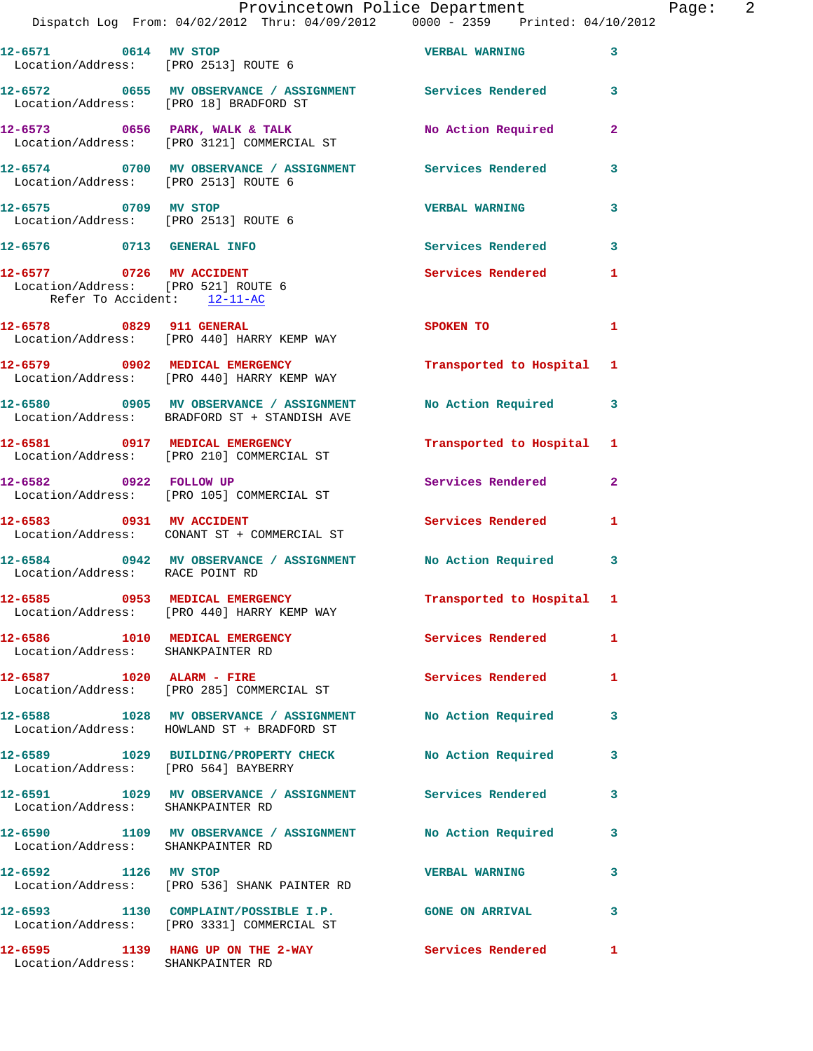|                                        | Provincetown Police Department<br>Dispatch Log From: 04/02/2012 Thru: 04/09/2012   0000 - 2359   Printed: 04/10/2012 |                           |              | Page: 2 |  |
|----------------------------------------|----------------------------------------------------------------------------------------------------------------------|---------------------------|--------------|---------|--|
|                                        | 12-6571 0614 MV STOP VERBAL WARNING 3<br>Location/Address: [PRO 2513] ROUTE 6                                        |                           |              |         |  |
| Location/Address: [PRO 18] BRADFORD ST | 12-6572 0655 MV OBSERVANCE / ASSIGNMENT Services Rendered 3                                                          |                           |              |         |  |
|                                        | 12-6573 0656 PARK, WALK & TALK (No Action Required 2<br>Location/Address: [PRO 3121] COMMERCIAL ST                   |                           |              |         |  |
| Location/Address: [PRO 2513] ROUTE 6   | 12-6574 0700 MV OBSERVANCE / ASSIGNMENT Services Rendered 3                                                          |                           |              |         |  |
| 12-6575 0709 MV STOP                   | Location/Address: [PRO 2513] ROUTE 6                                                                                 | <b>VERBAL WARNING</b>     | $\mathbf{3}$ |         |  |
|                                        | 12-6576 0713 GENERAL INFO                                                                                            | Services Rendered 3       |              |         |  |
| Refer To Accident: 12-11-AC            |                                                                                                                      | Services Rendered 1       |              |         |  |
|                                        | 12-6578 0829 911 GENERAL<br>Location/Address: [PRO 440] HARRY KEMP WAY                                               | SPOKEN TO                 | $\mathbf{1}$ |         |  |
|                                        | 12-6579 0902 MEDICAL EMERGENCY<br>Location/Address: [PRO 440] HARRY KEMP WAY                                         | Transported to Hospital 1 |              |         |  |
|                                        | 12-6580 0905 MV OBSERVANCE / ASSIGNMENT<br>Location/Address: BRADFORD ST + STANDISH AVE                              | No Action Required 3      |              |         |  |
|                                        | 12-6581 0917 MEDICAL EMERGENCY<br>Location/Address: [PRO 210] COMMERCIAL ST                                          | Transported to Hospital 1 |              |         |  |
|                                        | 12-6582 0922 FOLLOW UP<br>Location/Address: [PRO 105] COMMERCIAL ST                                                  | Services Rendered 2       |              |         |  |
| 12-6583 0931 MV ACCIDENT               | Location/Address: CONANT ST + COMMERCIAL ST                                                                          | Services Rendered 1       |              |         |  |
| Location/Address: RACE POINT RD        | 12-6584 0942 MV OBSERVANCE / ASSIGNMENT No Action Required 3                                                         |                           |              |         |  |
|                                        | 12-6585 0953 MEDICAL EMERGENCY<br>Location/Address: [PRO 440] HARRY KEMP WAY                                         | Transported to Hospital 1 |              |         |  |
| Location/Address: SHANKPAINTER RD      | 12-6586 1010 MEDICAL EMERGENCY Services Rendered 1                                                                   |                           |              |         |  |
|                                        | 12-6587 1020 ALARM - FIRE<br>Location/Address: [PRO 285] COMMERCIAL ST                                               | Services Rendered 1       |              |         |  |
|                                        | 12-6588 1028 MV OBSERVANCE / ASSIGNMENT No Action Required 3<br>Location/Address: HOWLAND ST + BRADFORD ST           |                           |              |         |  |
|                                        | 12-6589 1029 BUILDING/PROPERTY CHECK No Action Required 3<br>Location/Address: [PRO 564] BAYBERRY                    |                           |              |         |  |
| Location/Address: SHANKPAINTER RD      | 12-6591 1029 MV OBSERVANCE / ASSIGNMENT Services Rendered                                                            |                           | 3            |         |  |
| Location/Address: SHANKPAINTER RD      | 12-6590 1109 MV OBSERVANCE / ASSIGNMENT No Action Required 3                                                         |                           |              |         |  |
|                                        | 12-6592 1126 MV STOP<br>Location/Address: [PRO 536] SHANK PAINTER RD                                                 | <b>VERBAL WARNING</b>     | 3            |         |  |
|                                        | 12-6593 1130 COMPLAINT/POSSIBLE I.P. GONE ON ARRIVAL 3<br>Location/Address: [PRO 3331] COMMERCIAL ST                 |                           |              |         |  |
| Location/Address: SHANKPAINTER RD      | 12-6595 1139 HANG UP ON THE 2-WAY Services Rendered 1                                                                |                           |              |         |  |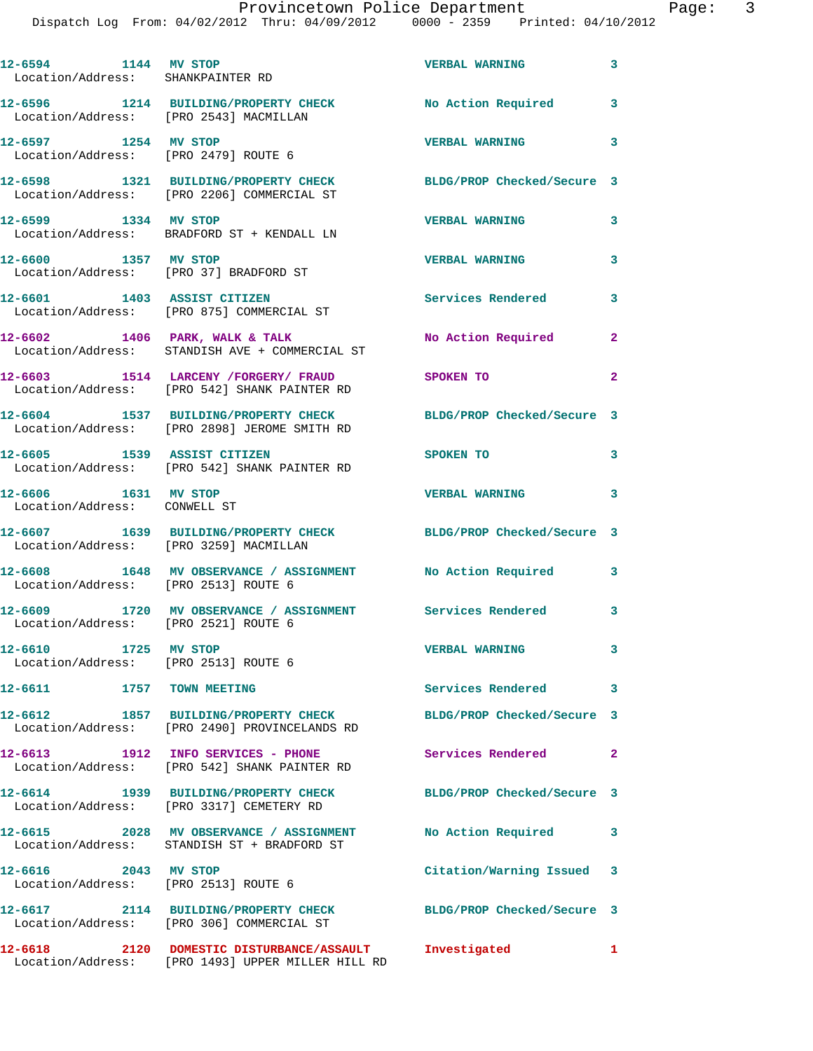Dispatch Log From: 04/02/2012 Thru: 04/09/2012 0000 - 2359 Printed: 04/10/2012

**12-6594 1144 MV STOP VERBAL WARNING 3**  Location/Address: SHANKPAINTER RD **12-6596 1214 BUILDING/PROPERTY CHECK No Action Required 3**  Location/Address: [PRO 2543] MACMILLAN **12-6597 1254 MV STOP VERBAL WARNING 3**  Location/Address: [PRO 2479] ROUTE 6 **12-6598 1321 BUILDING/PROPERTY CHECK BLDG/PROP Checked/Secure 3**  Location/Address: [PRO 2206] COMMERCIAL ST **12-6599 1334 MV STOP VERBAL WARNING 3**  Location/Address: BRADFORD ST + KENDALL LN **12-6600 1357 MV STOP VERBAL WARNING 3**  Location/Address: [PRO 37] BRADFORD ST **12-6601 1403 ASSIST CITIZEN Services Rendered 3**  Location/Address: [PRO 875] COMMERCIAL ST 12-6602 1406 PARK, WALK & TALK **No Action Required** 2 Location/Address: STANDISH AVE + COMMERCIAL ST **12-6603 1514 LARCENY /FORGERY/ FRAUD SPOKEN TO 2**  Location/Address: [PRO 542] SHANK PAINTER RD **12-6604 1537 BUILDING/PROPERTY CHECK BLDG/PROP Checked/Secure 3**  Location/Address: [PRO 2898] JEROME SMITH RD **12-6605 1539 ASSIST CITIZEN SPOKEN TO 3**  Location/Address: [PRO 542] SHANK PAINTER RD **12-6606 1631 MV STOP VERBAL WARNING 3**  Location/Address: CONWELL ST **12-6607 1639 BUILDING/PROPERTY CHECK BLDG/PROP Checked/Secure 3**  Location/Address: [PRO 3259] MACMILLAN **12-6608 1648 MV OBSERVANCE / ASSIGNMENT No Action Required 3**  Location/Address: [PRO 2513] ROUTE 6 **12-6609 1720 MV OBSERVANCE / ASSIGNMENT Services Rendered 3**  Location/Address: [PRO 2521] ROUTE 6 **12-6610 1725 MV STOP VERBAL WARNING 3**  Location/Address: [PRO 2513] ROUTE 6 **12-6611 1757 TOWN MEETING Services Rendered 3 12-6612 1857 BUILDING/PROPERTY CHECK BLDG/PROP Checked/Secure 3**  Location/Address: [PRO 2490] PROVINCELANDS RD **12-6613 1912 INFO SERVICES - PHONE Services Rendered 2**  Location/Address: [PRO 542] SHANK PAINTER RD **12-6614 1939 BUILDING/PROPERTY CHECK BLDG/PROP Checked/Secure 3**  Location/Address: [PRO 3317] CEMETERY RD **12-6615 2028 MV OBSERVANCE / ASSIGNMENT No Action Required 3**  Location/Address: STANDISH ST + BRADFORD ST **12-6616 2043 MV STOP Citation/Warning Issued 3**  Location/Address: [PRO 2513] ROUTE 6 **12-6617 2114 BUILDING/PROPERTY CHECK BLDG/PROP Checked/Secure 3**  Location/Address: [PRO 306] COMMERCIAL ST **12-6618 2120 DOMESTIC DISTURBANCE/ASSAULT Investigated 1**  Location/Address: [PRO 1493] UPPER MILLER HILL RD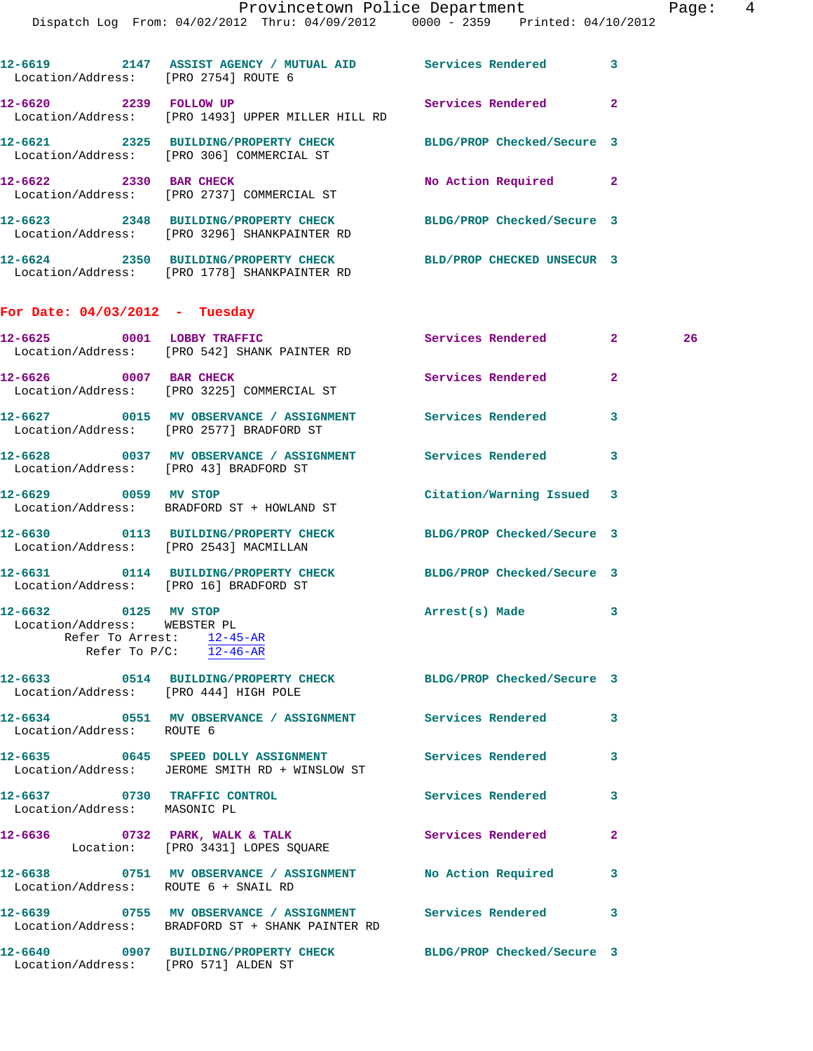|                                                              | Dispatch Log From: 04/02/2012 Thru: 04/09/2012 0000 - 2359 Printed: 04/10/2012                                             |                            |                |    |
|--------------------------------------------------------------|----------------------------------------------------------------------------------------------------------------------------|----------------------------|----------------|----|
| Location/Address: [PRO 2754] ROUTE 6                         | 12-6619 2147 ASSIST AGENCY / MUTUAL AID Services Rendered 3                                                                |                            |                |    |
| 12-6620 2239 FOLLOW UP                                       | Location/Address: [PRO 1493] UPPER MILLER HILL RD                                                                          | Services Rendered 2        |                |    |
|                                                              | 12-6621 2325 BUILDING/PROPERTY CHECK<br>Location/Address: [PRO 306] COMMERCIAL ST                                          | BLDG/PROP Checked/Secure 3 |                |    |
| 12-6622 2330 BAR CHECK                                       | Location/Address: [PRO 2737] COMMERCIAL ST                                                                                 | No Action Required 2       |                |    |
|                                                              | 12-6623 2348 BUILDING/PROPERTY CHECK<br>Location/Address: [PRO 3296] SHANKPAINTER RD                                       | BLDG/PROP Checked/Secure 3 |                |    |
|                                                              | 12-6624 2350 BUILDING/PROPERTY CHECK BLD/PROP CHECKED UNSECUR 3<br>Location/Address: [PRO 1778] SHANKPAINTER RD            |                            |                |    |
| For Date: $04/03/2012$ - Tuesday                             |                                                                                                                            |                            |                |    |
|                                                              | 12-6625 0001 LOBBY TRAFFIC<br>Location/Address: [PRO 542] SHANK PAINTER RD                                                 | Services Rendered 2        |                | 26 |
| 12-6626 0007 BAR CHECK                                       | Location/Address: [PRO 3225] COMMERCIAL ST                                                                                 | <b>Services Rendered</b>   | $\overline{2}$ |    |
|                                                              | 12-6627 0015 MV OBSERVANCE / ASSIGNMENT Services Rendered<br>Location/Address: [PRO 2577] BRADFORD ST                      |                            | 3              |    |
| Location/Address: [PRO 43] BRADFORD ST                       | 12-6628 0037 MV OBSERVANCE / ASSIGNMENT Services Rendered 3                                                                |                            |                |    |
|                                                              | 12-6629 0059 MV STOP<br>Location/Address: BRADFORD ST + HOWLAND ST                                                         | Citation/Warning Issued 3  |                |    |
| Location/Address: [PRO 2543] MACMILLAN                       | 12-6630 0113 BUILDING/PROPERTY CHECK                                                                                       | BLDG/PROP Checked/Secure 3 |                |    |
| Location/Address: [PRO 16] BRADFORD ST                       | 12-6631 0114 BUILDING/PROPERTY CHECK BLDG/PROP Checked/Secure 3                                                            |                            |                |    |
| 12-6632 0125 MV STOP<br>Location/Address: WEBSTER PL         | Refer To Arrest: $12-45-AR$<br>Refer To $P/C$ : $12-46-AR$                                                                 | Arrest(s) Made             |                |    |
| Location/Address: [PRO 444] HIGH POLE                        | 12-6633 0514 BUILDING/PROPERTY CHECK BLDG/PROP Checked/Secure 3                                                            |                            |                |    |
| Location/Address: ROUTE 6                                    | 12-6634 0551 MV OBSERVANCE / ASSIGNMENT Services Rendered                                                                  |                            | 3              |    |
|                                                              | 12-6635 0645 SPEED DOLLY ASSIGNMENT<br>Location/Address: JEROME SMITH RD + WINSLOW ST                                      | Services Rendered          | 3              |    |
| 12-6637 0730 TRAFFIC CONTROL<br>Location/Address: MASONIC PL |                                                                                                                            | Services Rendered          | 3              |    |
|                                                              | $12-6636$ 0732 PARK, WALK & TALK<br>Location: [PRO 3431] LOPES SQUARE                                                      | Services Rendered          | $\mathbf{2}$   |    |
| Location/Address: ROUTE 6 + SNAIL RD                         | 12-6638 0751 MV OBSERVANCE / ASSIGNMENT No Action Required                                                                 |                            | 3              |    |
|                                                              | 12-6639       0755   MV OBSERVANCE / ASSIGNMENT      Services Rendered<br>Location/Address: BRADFORD ST + SHANK PAINTER RD |                            | 3              |    |

**12-6640 0907 BUILDING/PROPERTY CHECK BLDG/PROP Checked/Secure 3**  Location/Address: [PRO 571] ALDEN ST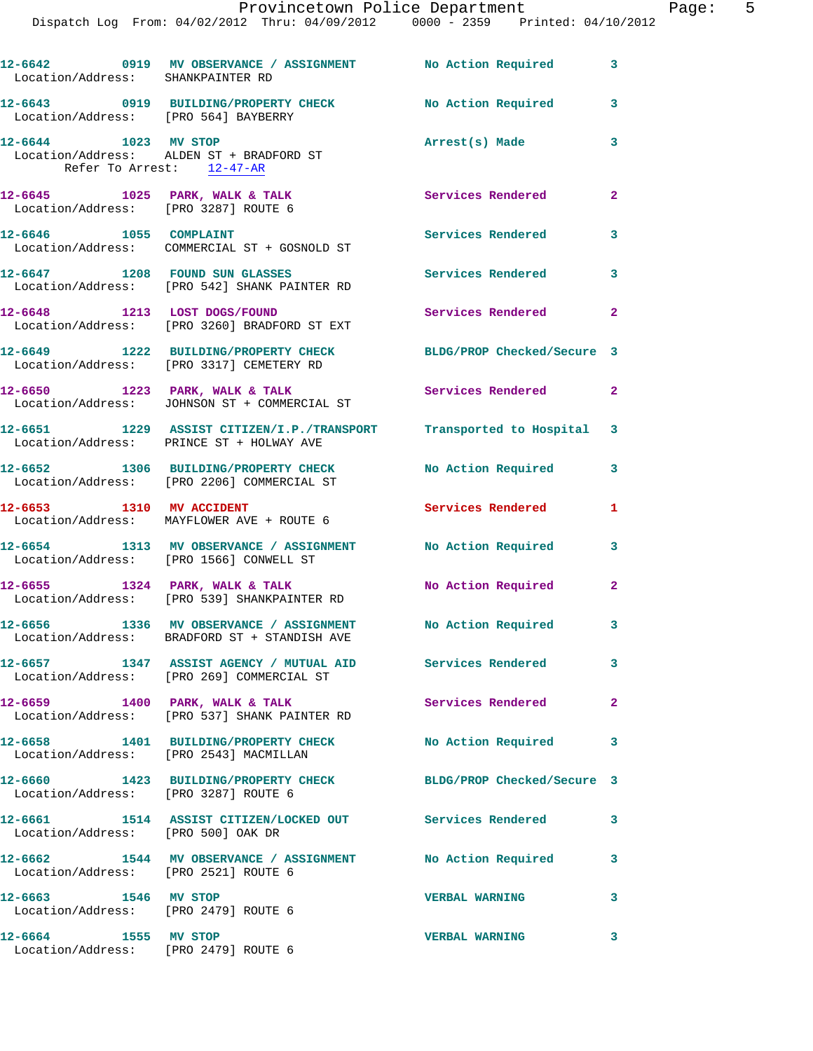| Location/Address: SHANKPAINTER RD                            | 12-6642 0919 MV OBSERVANCE / ASSIGNMENT No Action Required                                                       |                            | 3                       |
|--------------------------------------------------------------|------------------------------------------------------------------------------------------------------------------|----------------------------|-------------------------|
| Location/Address: [PRO 564] BAYBERRY                         | 12-6643 0919 BUILDING/PROPERTY CHECK No Action Required                                                          |                            | 3                       |
| 12-6644 1023 MV STOP<br>Refer To Arrest: 12-47-AR            | Location/Address: ALDEN ST + BRADFORD ST                                                                         | Arrest(s) Made             | 3                       |
| Location/Address: [PRO 3287] ROUTE 6                         | 12-6645 1025 PARK, WALK & TALK                                                                                   | Services Rendered          | $\overline{2}$          |
| 12-6646 1055 COMPLAINT                                       | Location/Address: COMMERCIAL ST + GOSNOLD ST                                                                     | <b>Services Rendered</b>   | 3                       |
|                                                              | 12-6647 1208 FOUND SUN GLASSES<br>Location/Address: [PRO 542] SHANK PAINTER RD                                   | <b>Services Rendered</b>   | 3                       |
|                                                              | 12-6648 1213 LOST DOGS/FOUND<br>Location/Address: [PRO 3260] BRADFORD ST EXT                                     | Services Rendered          | $\mathbf{2}$            |
|                                                              | 12-6649 1222 BUILDING/PROPERTY CHECK<br>Location/Address: [PRO 3317] CEMETERY RD                                 | BLDG/PROP Checked/Secure 3 |                         |
|                                                              | 12-6650 1223 PARK, WALK & TALK<br>Location/Address: JOHNSON ST + COMMERCIAL ST                                   | Services Rendered 2        |                         |
|                                                              | 12-6651 1229 ASSIST CITIZEN/I.P./TRANSPORT Transported to Hospital 3<br>Location/Address: PRINCE ST + HOLWAY AVE |                            |                         |
|                                                              | 12-6652 1306 BUILDING/PROPERTY CHECK<br>Location/Address: [PRO 2206] COMMERCIAL ST                               | No Action Required         | 3                       |
|                                                              | 12-6653 1310 MV ACCIDENT<br>Location/Address: MAYFLOWER AVE + ROUTE 6                                            | <b>Services Rendered</b>   | 1                       |
|                                                              | 12-6654 1313 MV OBSERVANCE / ASSIGNMENT<br>Location/Address: [PRO 1566] CONWELL ST                               | <b>No Action Required</b>  | 3                       |
|                                                              | 12-6655 1324 PARK, WALK & TALK<br>Location/Address: [PRO 539] SHANKPAINTER RD                                    | No Action Required         | $\overline{2}$          |
|                                                              | 12-6656 1336 MV OBSERVANCE / ASSIGNMENT No Action Required<br>Location/Address: BRADFORD ST + STANDISH AVE       |                            | $\overline{\mathbf{3}}$ |
|                                                              | 12-6657 1347 ASSIST AGENCY / MUTUAL AID Services Rendered<br>Location/Address: [PRO 269] COMMERCIAL ST           |                            | $\mathbf{3}$            |
|                                                              | 12-6659 1400 PARK, WALK & TALK<br>Location/Address: [PRO 537] SHANK PAINTER RD                                   | Services Rendered          | $\mathbf{2}$            |
|                                                              | 12-6658 1401 BUILDING/PROPERTY CHECK<br>Location/Address: [PRO 2543] MACMILLAN                                   | No Action Required         | $\mathbf{3}$            |
| Location/Address: [PRO 3287] ROUTE 6                         | 12-6660 1423 BUILDING/PROPERTY CHECK BLDG/PROP Checked/Secure 3                                                  |                            |                         |
|                                                              | 12-6661 1514 ASSIST CITIZEN/LOCKED OUT Services Rendered<br>Location/Address: [PRO 500] OAK DR                   |                            | 3                       |
| Location/Address: [PRO 2521] ROUTE 6                         | 12-6662 1544 MV OBSERVANCE / ASSIGNMENT No Action Required                                                       |                            | $\mathbf{3}$            |
| 12-6663 1546 MV STOP<br>Location/Address: [PRO 2479] ROUTE 6 |                                                                                                                  | <b>VERBAL WARNING</b>      | 3                       |
| 12-6664 1555 MV STOP                                         | Location/Address: [PRO 2479] ROUTE 6                                                                             | <b>VERBAL WARNING</b>      | 3                       |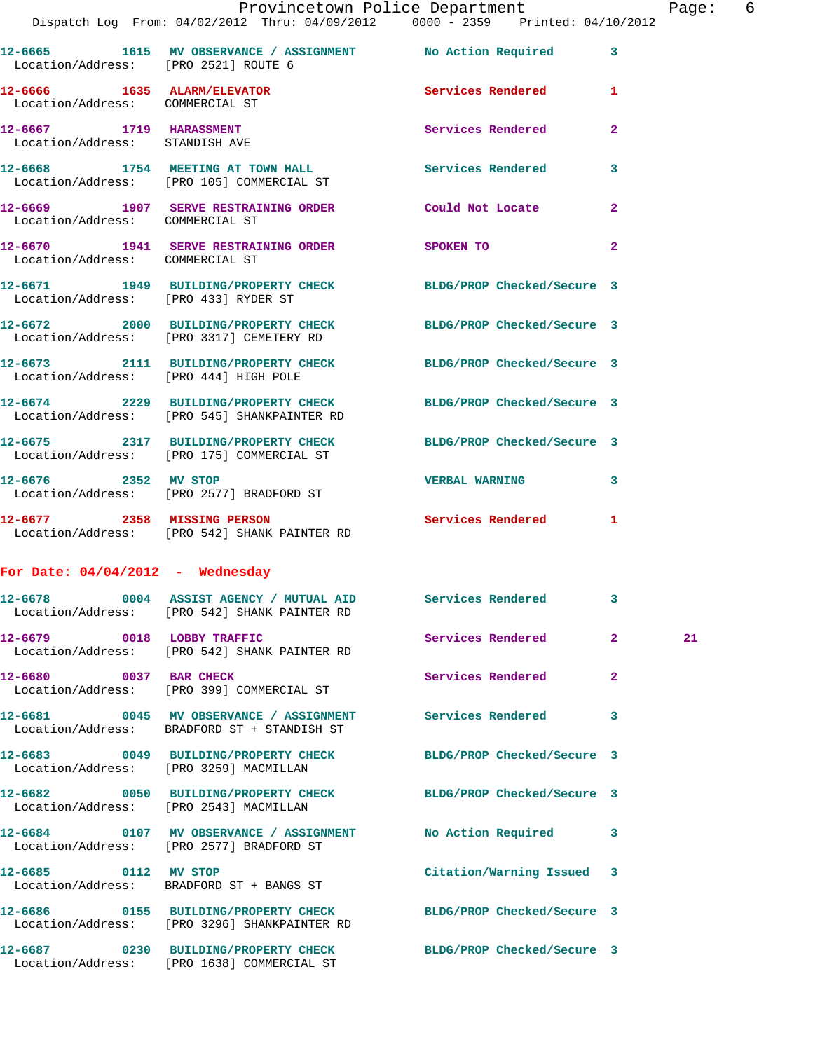|                                                                | 12-6665 1615 MV OBSERVANCE / ASSIGNMENT No Action Required<br>Location/Address: [PRO 2521] ROUTE 6             |                            | 3            |    |
|----------------------------------------------------------------|----------------------------------------------------------------------------------------------------------------|----------------------------|--------------|----|
| 12-6666 1635 ALARM/ELEVATOR<br>Location/Address: COMMERCIAL ST |                                                                                                                | Services Rendered          | 1            |    |
| 12-6667 1719 HARASSMENT<br>Location/Address: STANDISH AVE      |                                                                                                                | Services Rendered          | $\mathbf{2}$ |    |
|                                                                | 12-6668 1754 MEETING AT TOWN HALL<br>Location/Address: [PRO 105] COMMERCIAL ST                                 | Services Rendered          | 3            |    |
| Location/Address: COMMERCIAL ST                                | 12-6669 1907 SERVE RESTRAINING ORDER Could Not Locate                                                          |                            | $\mathbf{2}$ |    |
| Location/Address: COMMERCIAL ST                                | 12-6670 1941 SERVE RESTRAINING ORDER SPOKEN TO                                                                 |                            | $\mathbf{2}$ |    |
|                                                                | 12-6671 1949 BUILDING/PROPERTY CHECK BLDG/PROP Checked/Secure 3<br>Location/Address: [PRO 433] RYDER ST        |                            |              |    |
|                                                                | 12-6672 2000 BUILDING/PROPERTY CHECK<br>Location/Address: [PRO 3317] CEMETERY RD                               | BLDG/PROP Checked/Secure 3 |              |    |
|                                                                | 12-6673 2111 BUILDING/PROPERTY CHECK<br>Location/Address: [PRO 444] HIGH POLE                                  | BLDG/PROP Checked/Secure 3 |              |    |
|                                                                | 12-6674 2229 BUILDING/PROPERTY CHECK BLDG/PROP Checked/Secure 3<br>Location/Address: [PRO 545] SHANKPAINTER RD |                            |              |    |
|                                                                | 12-6675 2317 BUILDING/PROPERTY CHECK BLDG/PROP Checked/Secure 3<br>Location/Address: [PRO 175] COMMERCIAL ST   |                            |              |    |
|                                                                | 12-6676 2352 MV STOP<br>Location/Address: [PRO 2577] BRADFORD ST                                               | <b>VERBAL WARNING</b>      | 3            |    |
|                                                                | 12-6677 2358 MISSING PERSON<br>Location/Address: [PRO 542] SHANK PAINTER RD                                    | Services Rendered 1        |              |    |
| For Date: $04/04/2012$ - Wednesday                             |                                                                                                                |                            |              |    |
|                                                                | 12-6678 0004 ASSIST AGENCY / MUTUAL AID Services Rendered 3<br>Location/Address: [PRO 542] SHANK PAINTER RD    |                            |              |    |
| 12-6679 0018 LOBBY TRAFFIC                                     | Location/Address: [PRO 542] SHANK PAINTER RD                                                                   | <b>Services Rendered</b>   | $\mathbf{2}$ | 21 |
| 12-6680 0037 BAR CHECK                                         | Location/Address: [PRO 399] COMMERCIAL ST                                                                      | Services Rendered          | $\mathbf{2}$ |    |
|                                                                | 12-6681 0045 MV OBSERVANCE / ASSIGNMENT Services Rendered<br>Location/Address: BRADFORD ST + STANDISH ST       |                            | 3            |    |
|                                                                | 12-6683 0049 BUILDING/PROPERTY CHECK<br>Location/Address: [PRO 3259] MACMILLAN                                 | BLDG/PROP Checked/Secure 3 |              |    |
|                                                                | 12-6682 0050 BUILDING/PROPERTY CHECK<br>Location/Address: [PRO 2543] MACMILLAN                                 | BLDG/PROP Checked/Secure 3 |              |    |
|                                                                | 12-6684 0107 MV OBSERVANCE / ASSIGNMENT NO Action Required 3<br>Location/Address: [PRO 2577] BRADFORD ST       |                            |              |    |
|                                                                | 12-6685 0112 MV STOP<br>Location/Address: BRADFORD ST + BANGS ST                                               | Citation/Warning Issued 3  |              |    |
|                                                                | 12-6686 0155 BUILDING/PROPERTY CHECK<br>Location/Address: [PRO 3296] SHANKPAINTER RD                           | BLDG/PROP Checked/Secure 3 |              |    |
| 12-6687                                                        | 0230 BUILDING/PROPERTY CHECK                                                                                   | BLDG/PROP Checked/Secure 3 |              |    |

Location/Address: [PRO 1638] COMMERCIAL ST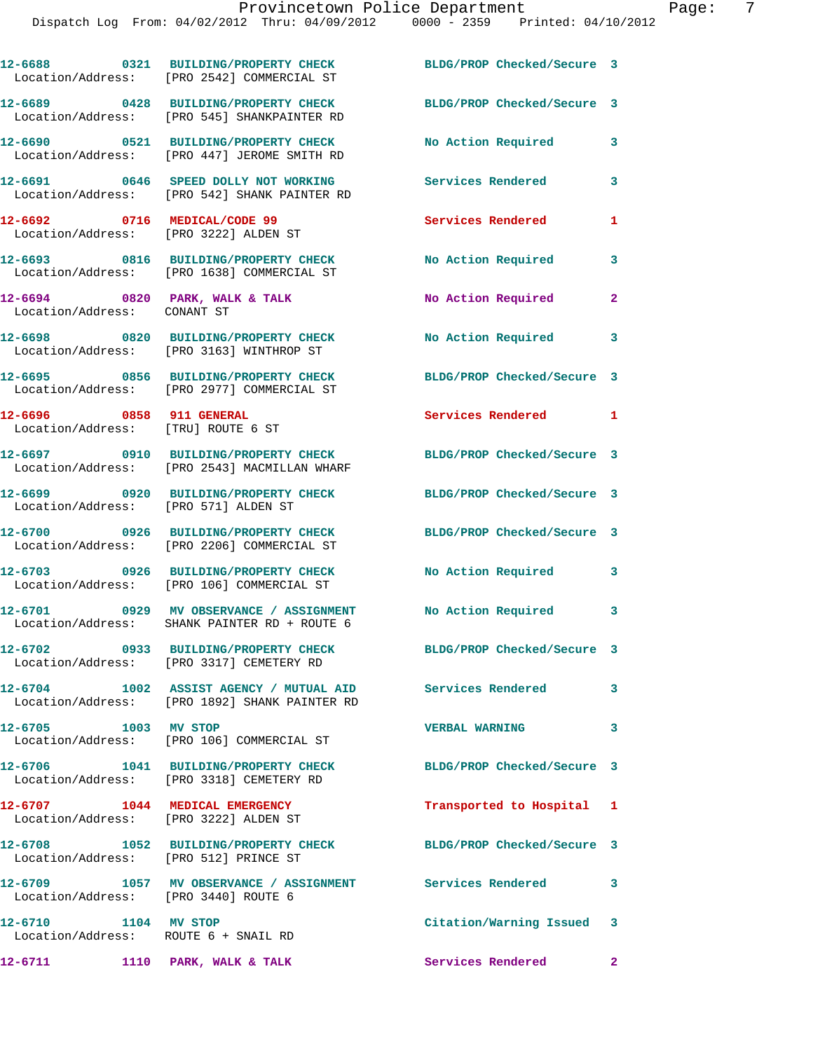|                                                                       | 12-6688 0321 BUILDING/PROPERTY CHECK<br>Location/Address: [PRO 2542] COMMERCIAL ST       | BLDG/PROP Checked/Secure 3 |              |
|-----------------------------------------------------------------------|------------------------------------------------------------------------------------------|----------------------------|--------------|
|                                                                       | 12-6689 0428 BUILDING/PROPERTY CHECK<br>Location/Address: [PRO 545] SHANKPAINTER RD      | BLDG/PROP Checked/Secure 3 |              |
|                                                                       | 12-6690 0521 BUILDING/PROPERTY CHECK<br>Location/Address: [PRO 447] JEROME SMITH RD      | No Action Required         | 3            |
|                                                                       | 12-6691 0646 SPEED DOLLY NOT WORKING<br>Location/Address: [PRO 542] SHANK PAINTER RD     | Services Rendered          | 3            |
| 12-6692 0716 MEDICAL/CODE 99<br>Location/Address: [PRO 3222] ALDEN ST |                                                                                          | Services Rendered          | 1            |
|                                                                       | 12-6693 0816 BUILDING/PROPERTY CHECK<br>Location/Address: [PRO 1638] COMMERCIAL ST       | No Action Required         | 3            |
| Location/Address: CONANT ST                                           | $12-6694$ 0820 PARK, WALK & TALK                                                         | No Action Required         | $\mathbf{2}$ |
|                                                                       | 12-6698 0820 BUILDING/PROPERTY CHECK<br>Location/Address: [PRO 3163] WINTHROP ST         | No Action Required         | 3            |
|                                                                       | 12-6695 0856 BUILDING/PROPERTY CHECK<br>Location/Address: [PRO 2977] COMMERCIAL ST       | BLDG/PROP Checked/Secure 3 |              |
| 12-6696 0858 911 GENERAL<br>Location/Address: [TRU] ROUTE 6 ST        |                                                                                          | Services Rendered 1        |              |
|                                                                       | 12-6697 0910 BUILDING/PROPERTY CHECK<br>Location/Address: [PRO 2543] MACMILLAN WHARF     | BLDG/PROP Checked/Secure 3 |              |
| Location/Address: [PRO 571] ALDEN ST                                  | 12-6699 0920 BUILDING/PROPERTY CHECK                                                     | BLDG/PROP Checked/Secure 3 |              |
|                                                                       | 12-6700 0926 BUILDING/PROPERTY CHECK<br>Location/Address: [PRO 2206] COMMERCIAL ST       | BLDG/PROP Checked/Secure 3 |              |
|                                                                       | 12-6703 0926 BUILDING/PROPERTY CHECK<br>Location/Address: [PRO 106] COMMERCIAL ST        | No Action Required         | 3            |
|                                                                       | 12-6701 0929 MV OBSERVANCE / ASSIGNMENT<br>Location/Address: SHANK PAINTER RD + ROUTE 6  | No Action Required 3       |              |
|                                                                       | 12-6702 0933 BUILDING/PROPERTY CHECK<br>Location/Address: [PRO 3317] CEMETERY RD         | BLDG/PROP Checked/Secure 3 |              |
|                                                                       | 12-6704 1002 ASSIST AGENCY / MUTUAL AID<br>Location/Address: [PRO 1892] SHANK PAINTER RD | Services Rendered          | 3            |
| 12-6705 1003 MV STOP                                                  | Location/Address: [PRO 106] COMMERCIAL ST                                                | <b>VERBAL WARNING</b>      | 3            |
|                                                                       | 12-6706 1041 BUILDING/PROPERTY CHECK<br>Location/Address: [PRO 3318] CEMETERY RD         | BLDG/PROP Checked/Secure 3 |              |
| 12-6707 1044 MEDICAL EMERGENCY                                        | Location/Address: [PRO 3222] ALDEN ST                                                    | Transported to Hospital 1  |              |
| Location/Address: [PRO 512] PRINCE ST                                 | 12-6708 1052 BUILDING/PROPERTY CHECK                                                     | BLDG/PROP Checked/Secure 3 |              |
| Location/Address: [PRO 3440] ROUTE 6                                  | 12-6709 1057 MV OBSERVANCE / ASSIGNMENT Services Rendered                                |                            | 3            |
| 1104 MV STOP<br>12-6710<br>Location/Address: ROUTE 6 + SNAIL RD       |                                                                                          | Citation/Warning Issued 3  |              |
| 12-6711 1110 PARK, WALK & TALK                                        |                                                                                          | Services Rendered          | $\mathbf{2}$ |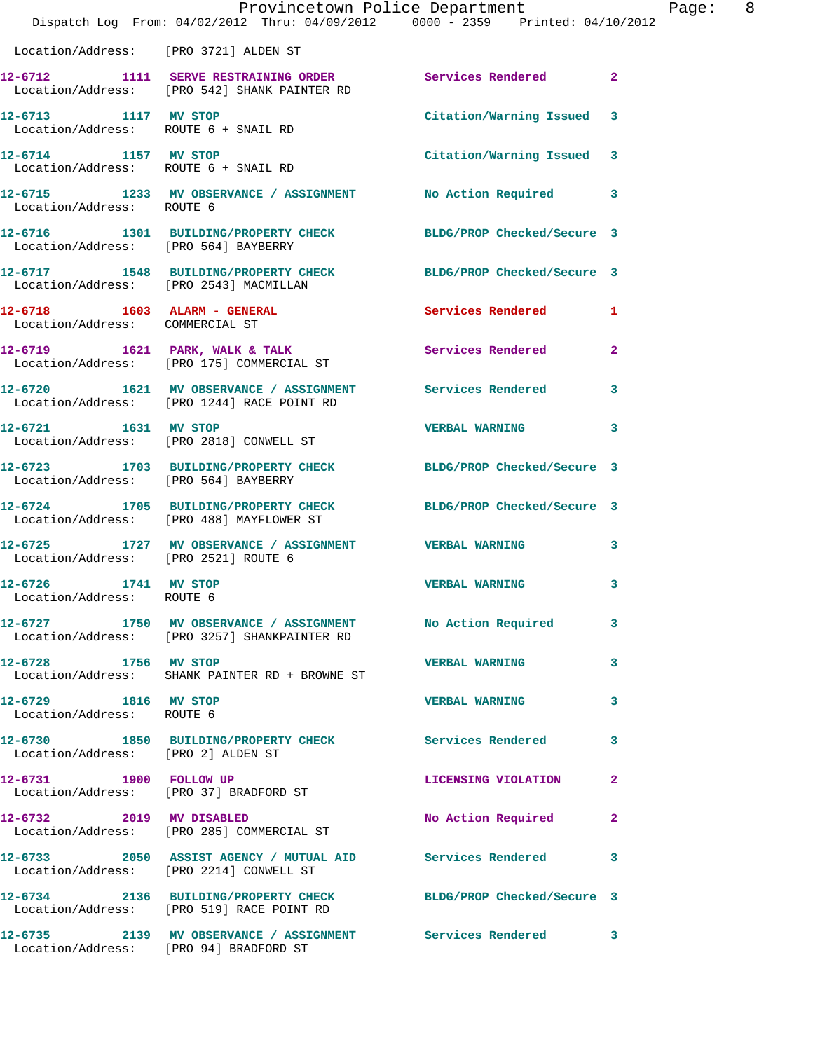|                                                              | Dispatch Log From: 04/02/2012 Thru: 04/09/2012 0000 - 2359 Printed: 04/10/2012                                            | Provincetown Police Department Page: 8 |                |  |
|--------------------------------------------------------------|---------------------------------------------------------------------------------------------------------------------------|----------------------------------------|----------------|--|
| Location/Address: [PRO 3721] ALDEN ST                        |                                                                                                                           |                                        |                |  |
|                                                              | 12-6712 1111 SERVE RESTRAINING ORDER Services Rendered 2<br>Location/Address: [PRO 542] SHANK PAINTER RD                  |                                        |                |  |
| 12-6713 1117 MV STOP<br>Location/Address: ROUTE 6 + SNAIL RD |                                                                                                                           | Citation/Warning Issued 3              |                |  |
| 12-6714 1157 MV STOP                                         | Location/Address: ROUTE 6 + SNAIL RD                                                                                      | Citation/Warning Issued 3              |                |  |
| Location/Address: ROUTE 6                                    | 12-6715 1233 MV OBSERVANCE / ASSIGNMENT No Action Required 3                                                              |                                        |                |  |
| Location/Address: [PRO 564] BAYBERRY                         | 12-6716 1301 BUILDING/PROPERTY CHECK BLDG/PROP Checked/Secure 3                                                           |                                        |                |  |
|                                                              | 12-6717 1548 BUILDING/PROPERTY CHECK BLDG/PROP Checked/Secure 3<br>Location/Address: [PRO 2543] MACMILLAN                 |                                        |                |  |
| Location/Address: COMMERCIAL ST                              |                                                                                                                           | Services Rendered 1                    |                |  |
|                                                              | 12-6719 1621 PARK, WALK & TALK<br>Thermian (Madress: FRAG 1751 COMMERCIAL ST<br>Location/Address: [PRO 175] COMMERCIAL ST | <b>Services Rendered</b>               | $\overline{2}$ |  |
|                                                              | 12-6720 1621 MV OBSERVANCE / ASSIGNMENT Services Rendered<br>Location/Address: [PRO 1244] RACE POINT RD                   |                                        | 3              |  |
| 12-6721 1631 MV STOP                                         | Location/Address: [PRO 2818] CONWELL ST                                                                                   | <b>VERBAL WARNING</b>                  | 3              |  |
| Location/Address: [PRO 564] BAYBERRY                         | 12-6723 1703 BUILDING/PROPERTY CHECK BLDG/PROP Checked/Secure 3                                                           |                                        |                |  |
|                                                              | 12-6724 1705 BUILDING/PROPERTY CHECK BLDG/PROP Checked/Secure 3<br>Location/Address: [PRO 488] MAYFLOWER ST               |                                        |                |  |
| Location/Address: [PRO 2521] ROUTE 6                         | 12-6725 1727 MV OBSERVANCE / ASSIGNMENT VERBAL WARNING                                                                    |                                        | 3              |  |
| 1741 MV STOP<br>12-6726<br>Location/Address: ROUTE 6         |                                                                                                                           | VERBAL WARNING                         | 3              |  |
|                                                              | 12-6727 1750 MV OBSERVANCE / ASSIGNMENT No Action Required<br>Location/Address: [PRO 3257] SHANKPAINTER RD                |                                        | 3              |  |
|                                                              | 12-6728 1756 MV STOP<br>Location/Address: SHANK PAINTER RD + BROWNE ST                                                    | <b>VERBAL WARNING</b>                  | 3              |  |
| 12-6729 1816 MV STOP<br>Location/Address: ROUTE 6            |                                                                                                                           | <b>VERBAL WARNING</b>                  | 3              |  |
| Location/Address: [PRO 2] ALDEN ST                           | 12-6730 1850 BUILDING/PROPERTY CHECK Services Rendered                                                                    |                                        | 3              |  |
| 12-6731 1900 FOLLOW UP                                       | Location/Address: [PRO 37] BRADFORD ST                                                                                    | LICENSING VIOLATION                    | 2              |  |
|                                                              | 12-6732 2019 MV DISABLED<br>Location/Address: [PRO 285] COMMERCIAL ST                                                     | No Action Required                     | $\mathbf{2}$   |  |
|                                                              | 12-6733 2050 ASSIST AGENCY / MUTUAL AID Services Rendered<br>Location/Address: [PRO 2214] CONWELL ST                      |                                        | 3              |  |
|                                                              | 12-6734 2136 BUILDING/PROPERTY CHECK BLDG/PROP Checked/Secure 3<br>Location/Address: [PRO 519] RACE POINT RD              |                                        |                |  |
| Location/Address: [PRO 94] BRADFORD ST                       | 12-6735 2139 MV OBSERVANCE / ASSIGNMENT Services Rendered                                                                 |                                        | 3              |  |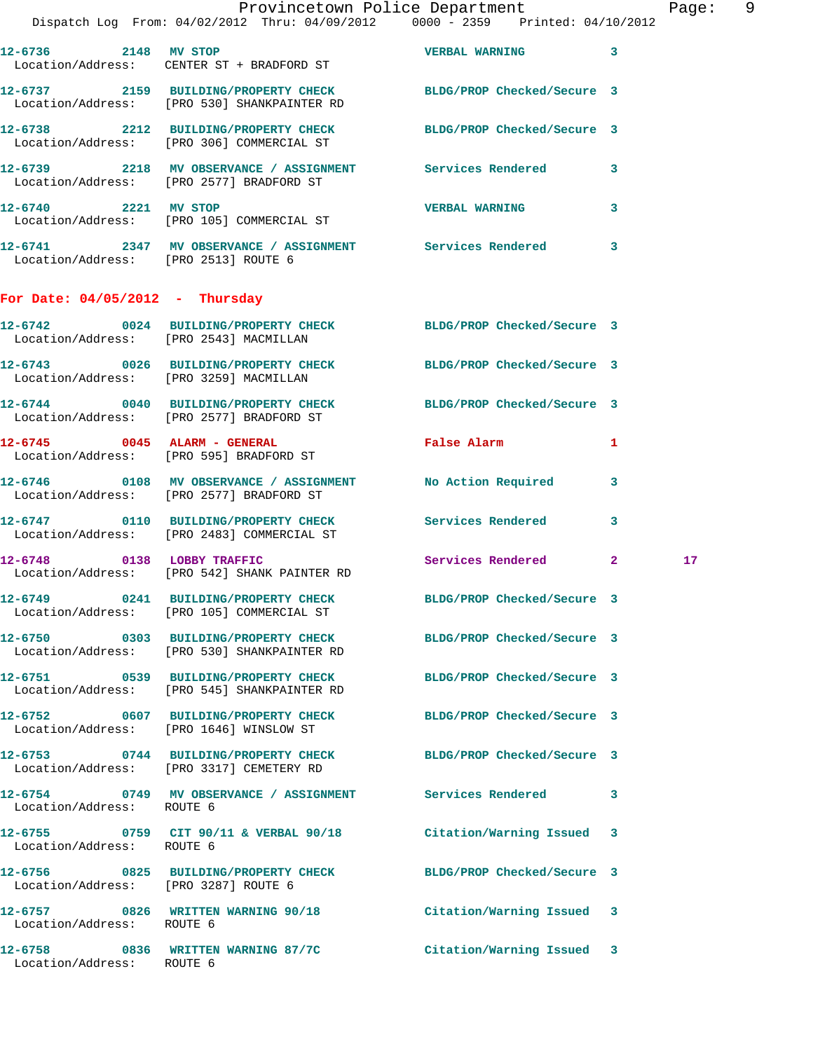|                                        | Provincetown Police Department The Page: 9<br>Dispatch Log From: 04/02/2012 Thru: 04/09/2012   0000 - 2359   Printed: 04/10/2012 |                            |             |    |  |
|----------------------------------------|----------------------------------------------------------------------------------------------------------------------------------|----------------------------|-------------|----|--|
|                                        | 12-6736 2148 MV STOP<br>Location/Address: CENTER ST + BRADFORD ST                                                                | <b>VERBAL WARNING</b>      | 3           |    |  |
|                                        | 12-6737 2159 BUILDING/PROPERTY CHECK BLDG/PROP Checked/Secure 3<br>Location/Address: [PRO 530] SHANKPAINTER RD                   |                            |             |    |  |
|                                        | 12-6738 2212 BUILDING/PROPERTY CHECK BLDG/PROP Checked/Secure 3<br>Location/Address: [PRO 306] COMMERCIAL ST                     |                            |             |    |  |
|                                        |                                                                                                                                  |                            |             |    |  |
|                                        | 12-6740 2221 MV STOP<br>Location/Address: [PRO 105] COMMERCIAL ST                                                                | <b>VERBAL WARNING</b>      | 3           |    |  |
| Location/Address: [PRO 2513] ROUTE 6   | 12-6741 2347 MV OBSERVANCE / ASSIGNMENT Services Rendered                                                                        |                            | 3           |    |  |
| For Date: $04/05/2012$ - Thursday      |                                                                                                                                  |                            |             |    |  |
| Location/Address: [PRO 2543] MACMILLAN | 12-6742 0024 BUILDING/PROPERTY CHECK BLDG/PROP Checked/Secure 3                                                                  |                            |             |    |  |
|                                        | 12-6743 0026 BUILDING/PROPERTY CHECK BLDG/PROP Checked/Secure 3<br>Location/Address: [PRO 3259] MACMILLAN                        |                            |             |    |  |
|                                        | 12-6744 0040 BUILDING/PROPERTY CHECK BLDG/PROP Checked/Secure 3<br>Location/Address: [PRO 2577] BRADFORD ST                      |                            |             |    |  |
|                                        | 12-6745 0045 ALARM - GENERAL<br>Location/Address: [PRO 595] BRADFORD ST                                                          | False Alarm 1              |             |    |  |
|                                        | 12-6746  0108 MV OBSERVANCE / ASSIGNMENT  No Action Required<br>Location/Address: [PRO 2577] BRADFORD ST                         |                            | 3           |    |  |
|                                        | 12-6747 0110 BUILDING/PROPERTY CHECK Services Rendered 3<br>Location/Address: [PRO 2483] COMMERCIAL ST                           |                            |             |    |  |
|                                        | 12-6748 0138 LOBBY TRAFFIC<br>Location/Address: [PRO 542] SHANK PAINTER RD                                                       | Services Rendered          | $2^{\circ}$ | 17 |  |
|                                        | 12-6749 0241 BUILDING/PROPERTY CHECK<br>Location/Address: [PRO 105] COMMERCIAL ST                                                | BLDG/PROP Checked/Secure 3 |             |    |  |
|                                        | 12-6750 0303 BUILDING/PROPERTY CHECK<br>Location/Address: [PRO 530] SHANKPAINTER RD                                              | BLDG/PROP Checked/Secure 3 |             |    |  |
|                                        | 12-6751 0539 BUILDING/PROPERTY CHECK<br>Location/Address: [PRO 545] SHANKPAINTER RD                                              | BLDG/PROP Checked/Secure 3 |             |    |  |
|                                        | 12-6752 0607 BUILDING/PROPERTY CHECK BLDG/PROP Checked/Secure 3<br>Location/Address: [PRO 1646] WINSLOW ST                       |                            |             |    |  |
|                                        | 12-6753 0744 BUILDING/PROPERTY CHECK<br>Location/Address: [PRO 3317] CEMETERY RD                                                 | BLDG/PROP Checked/Secure 3 |             |    |  |
| Location/Address: ROUTE 6              | 12-6754 0749 MV OBSERVANCE / ASSIGNMENT Services Rendered                                                                        |                            | 3           |    |  |
| Location/Address: ROUTE 6              | 12-6755 0759 CIT 90/11 & VERBAL 90/18 Citation/Warning Issued 3                                                                  |                            |             |    |  |
| Location/Address: [PRO 3287] ROUTE 6   | 12-6756 0825 BUILDING/PROPERTY CHECK                                                                                             | BLDG/PROP Checked/Secure 3 |             |    |  |
| Location/Address: ROUTE 6              | 12-6757 0826 WRITTEN WARNING 90/18 Citation/Warning Issued 3                                                                     |                            |             |    |  |
| Location/Address: ROUTE 6              | 12-6758 0836 WRITTEN WARNING 87/7C                                                                                               | Citation/Warning Issued 3  |             |    |  |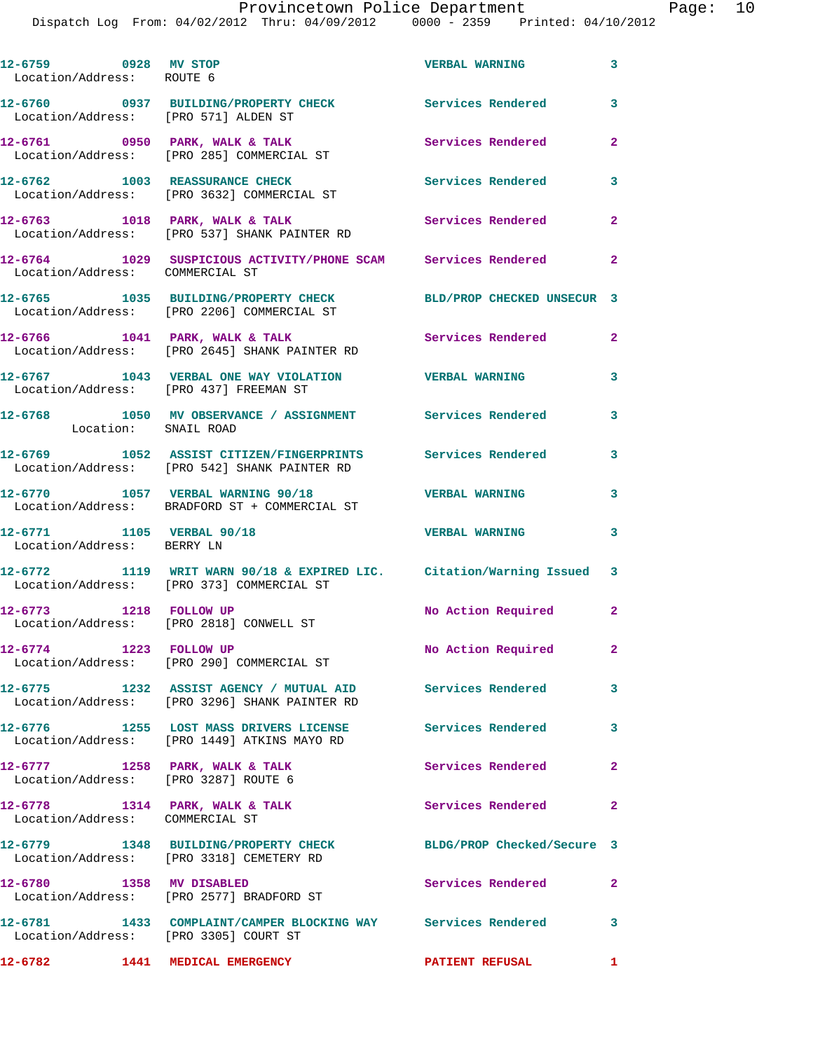## Provincetown Police Department Page: 10

Dispatch Log From: 04/02/2012 Thru: 04/09/2012 0000 - 2359 Printed: 04/10/2012

| 12-6759 0928 MV STOP<br>Location/Address: ROUTE 6                      |                                                                                                                    | <b>VERBAL WARNING</b>      | $\mathbf{3}$            |
|------------------------------------------------------------------------|--------------------------------------------------------------------------------------------------------------------|----------------------------|-------------------------|
| Location/Address: [PRO 571] ALDEN ST                                   | 12-6760 0937 BUILDING/PROPERTY CHECK Services Rendered 3                                                           |                            |                         |
|                                                                        | 12-6761 0950 PARK, WALK & TALK<br>Location/Address: [PRO 285] COMMERCIAL ST                                        | Services Rendered          | $\overline{a}$          |
|                                                                        | 12-6762 1003 REASSURANCE CHECK<br>Location/Address: [PRO 3632] COMMERCIAL ST                                       | <b>Services Rendered</b>   | 3                       |
|                                                                        | 12-6763 1018 PARK, WALK & TALK<br>Location/Address: [PRO 537] SHANK PAINTER RD                                     | Services Rendered          | $\overline{2}$          |
| Location/Address: COMMERCIAL ST                                        | 12-6764 1029 SUSPICIOUS ACTIVITY/PHONE SCAM Services Rendered                                                      |                            | $\mathbf{2}$            |
|                                                                        | 12-6765 1035 BUILDING/PROPERTY CHECK<br>Location/Address: [PRO 2206] COMMERCIAL ST                                 | BLD/PROP CHECKED UNSECUR 3 |                         |
|                                                                        | $12-6766$ 1041 PARK, WALK & TALK<br>Location/Address: [PRO 2645] SHANK PAINTER RD                                  | Services Rendered 2        |                         |
| Location/Address: [PRO 437] FREEMAN ST                                 | 12-6767 1043 VERBAL ONE WAY VIOLATION VERBAL WARNING                                                               |                            | 3                       |
| Location: SNAIL ROAD                                                   | 12-6768 1050 MV OBSERVANCE / ASSIGNMENT Services Rendered                                                          |                            | 3                       |
|                                                                        | 12-6769 1052 ASSIST CITIZEN/FINGERPRINTS Services Rendered<br>Location/Address: [PRO 542] SHANK PAINTER RD         |                            | 3                       |
|                                                                        | 12-6770 1057 VERBAL WARNING 90/18<br>Location/Address: BRADFORD ST + COMMERCIAL ST                                 | <b>VERBAL WARNING</b>      | 3                       |
| 12-6771 1105 VERBAL 90/18<br>Location/Address: BERRY LN                |                                                                                                                    | <b>VERBAL WARNING</b>      | 3                       |
|                                                                        | 12-6772 1119 WRIT WARN 90/18 & EXPIRED LIC. Citation/Warning Issued 3<br>Location/Address: [PRO 373] COMMERCIAL ST |                            |                         |
| 12-6773 1218 FOLLOW UP                                                 | Location/Address: [PRO 2818] CONWELL ST                                                                            | No Action Required 2       |                         |
| 12-6774 1223 FOLLOW UP                                                 | Location/Address: [PRO 290] COMMERCIAL ST                                                                          | No Action Required         | 2 <sub>1</sub>          |
|                                                                        | 12-6775 1232 ASSIST AGENCY / MUTUAL AID Services Rendered<br>Location/Address: [PRO 3296] SHANK PAINTER RD         |                            | $\overline{\mathbf{3}}$ |
|                                                                        | 12-6776 1255 LOST MASS DRIVERS LICENSE Services Rendered<br>Location/Address: [PRO 1449] ATKINS MAYO RD            |                            | $\overline{\mathbf{3}}$ |
| 12-6777 1258 PARK, WALK & TALK<br>Location/Address: [PRO 3287] ROUTE 6 |                                                                                                                    | Services Rendered 2        |                         |
| Location/Address: COMMERCIAL ST                                        | 12-6778 1314 PARK, WALK & TALK                                                                                     | Services Rendered          | $\mathbf{2}$            |
|                                                                        | 12-6779 1348 BUILDING/PROPERTY CHECK BLDG/PROP Checked/Secure 3<br>Location/Address: [PRO 3318] CEMETERY RD        |                            |                         |
| 12-6780 1358 MV DISABLED                                               | Location/Address: [PRO 2577] BRADFORD ST                                                                           | <b>Services Rendered</b>   | $\mathbf{2}$            |
| Location/Address: [PRO 3305] COURT ST                                  | 12-6781 1433 COMPLAINT/CAMPER BLOCKING WAY Services Rendered 3                                                     |                            |                         |
| 12-6782 1441 MEDICAL EMERGENCY                                         |                                                                                                                    | PATIENT REFUSAL 1          |                         |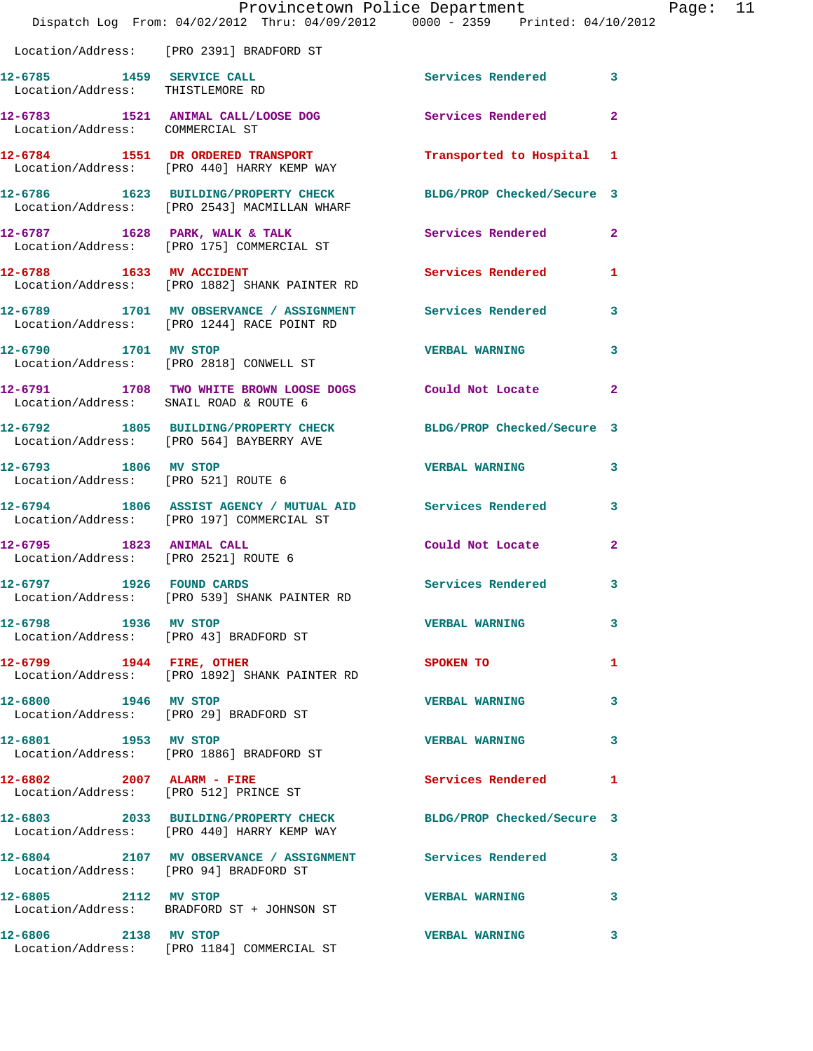|                                                                  | Provincetown Police Department<br>Dispatch Log From: 04/02/2012 Thru: 04/09/2012 0000 - 2359 Printed: 04/10/2012 |                            |                         |
|------------------------------------------------------------------|------------------------------------------------------------------------------------------------------------------|----------------------------|-------------------------|
|                                                                  | Location/Address: [PRO 2391] BRADFORD ST                                                                         |                            |                         |
| 12-6785 1459 SERVICE CALL<br>Location/Address: THISTLEMORE RD    |                                                                                                                  | <b>Services Rendered</b>   | 3                       |
| Location/Address: COMMERCIAL ST                                  | 12-6783 1521 ANIMAL CALL/LOOSE DOG                                                                               | Services Rendered          | $\overline{\mathbf{2}}$ |
|                                                                  | 12-6784 1551 DR ORDERED TRANSPORT<br>Location/Address: [PRO 440] HARRY KEMP WAY                                  | Transported to Hospital    | 1                       |
|                                                                  | 12-6786 1623 BUILDING/PROPERTY CHECK<br>Location/Address: [PRO 2543] MACMILLAN WHARF                             | BLDG/PROP Checked/Secure 3 |                         |
|                                                                  | $12-6787$ 1628 PARK, WALK & TALK<br>Location/Address: [PRO 175] COMMERCIAL ST                                    | Services Rendered          | $\mathbf{2}$            |
| 12-6788 1633 MV ACCIDENT                                         | Location/Address: [PRO 1882] SHANK PAINTER RD                                                                    | Services Rendered          | 1                       |
|                                                                  | 12-6789 1701 MV OBSERVANCE / ASSIGNMENT<br>Location/Address: [PRO 1244] RACE POINT RD                            | <b>Services Rendered</b>   | 3                       |
| 12-6790 1701 MV STOP                                             | Location/Address: [PRO 2818] CONWELL ST                                                                          | <b>VERBAL WARNING</b>      | 3                       |
| Location/Address: SNAIL ROAD & ROUTE 6                           | 12-6791 1708 TWO WHITE BROWN LOOSE DOGS Could Not Locate                                                         |                            | $\overline{2}$          |
|                                                                  | 12-6792 1805 BUILDING/PROPERTY CHECK BLDG/PROP Checked/Secure 3<br>Location/Address: [PRO 564] BAYBERRY AVE      |                            |                         |
| 12-6793 1806 MV STOP                                             | Location/Address: [PRO 521] ROUTE 6                                                                              | <b>VERBAL WARNING</b>      | 3                       |
|                                                                  | 12-6794 1806 ASSIST AGENCY / MUTUAL AID Services Rendered<br>Location/Address: [PRO 197] COMMERCIAL ST           |                            | 3                       |
| 12-6795 1823 ANIMAL CALL<br>Location/Address: [PRO 2521] ROUTE 6 |                                                                                                                  | Could Not Locate           | $\mathbf{2}$            |
| 12-6797 1926                                                     | <b>FOUND CARDS</b><br>Location/Address: [PRO 539] SHANK PAINTER RD                                               | Services Rendered          | 3                       |
| 12-6798 1936 MV STOP                                             | Location/Address: [PRO 43] BRADFORD ST                                                                           | <b>VERBAL WARNING</b>      | 3                       |
| 12-6799 1944 FIRE, OTHER                                         | Location/Address: [PRO 1892] SHANK PAINTER RD                                                                    | SPOKEN TO                  | 1                       |
| 12-6800 1946 MV STOP                                             | Location/Address: [PRO 29] BRADFORD ST                                                                           | <b>VERBAL WARNING</b>      | з                       |
| 12-6801 1953 MV STOP                                             | Location/Address: [PRO 1886] BRADFORD ST                                                                         | <b>VERBAL WARNING</b>      | 3                       |
| 12-6802 2007 ALARM - FIRE                                        | Location/Address: [PRO 512] PRINCE ST                                                                            | <b>Services Rendered</b>   | 1                       |
|                                                                  | 12-6803 2033 BUILDING/PROPERTY CHECK BLDG/PROP Checked/Secure 3<br>Location/Address: [PRO 440] HARRY KEMP WAY    |                            |                         |
| Location/Address: [PRO 94] BRADFORD ST                           | 12-6804 2107 MV OBSERVANCE / ASSIGNMENT Services Rendered                                                        |                            | 3                       |
|                                                                  | 12-6805 2112 MV STOP<br>Location/Address: BRADFORD ST + JOHNSON ST                                               | <b>VERBAL WARNING</b>      | 3                       |
| 12-6806 2138 MV STOP                                             | Location/Address: [PRO 1184] COMMERCIAL ST                                                                       | <b>VERBAL WARNING</b>      | 3                       |

Page: 11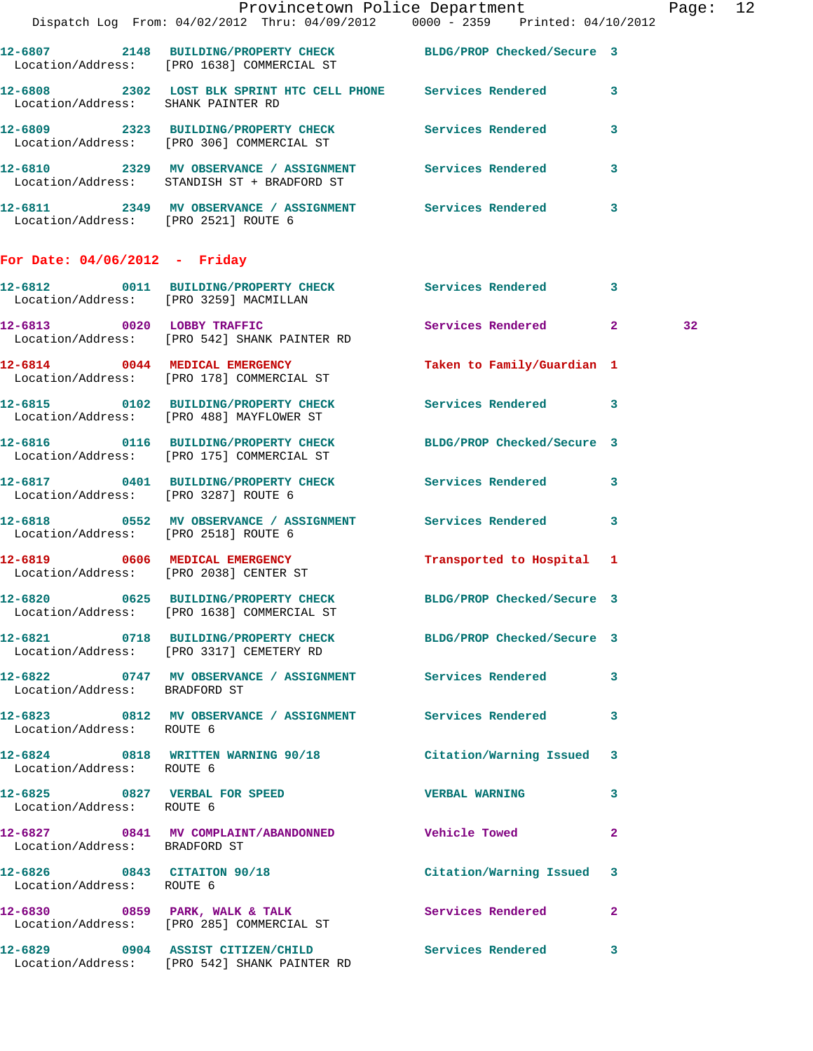|                                        | Provincetown Police Department The Rage: 12<br>Dispatch Log From: 04/02/2012 Thru: 04/09/2012 0000 - 2359 Printed: 04/10/2012 |                            |                |
|----------------------------------------|-------------------------------------------------------------------------------------------------------------------------------|----------------------------|----------------|
|                                        |                                                                                                                               |                            |                |
|                                        | 12-6807 2148 BUILDING/PROPERTY CHECK BLDG/PROP Checked/Secure 3<br>Location/Address: [PRO 1638] COMMERCIAL ST                 |                            |                |
| Location/Address: SHANK PAINTER RD     | 12-6808 2302 LOST BLK SPRINT HTC CELL PHONE Services Rendered 3                                                               |                            |                |
|                                        | 12-6809 2323 BUILDING/PROPERTY CHECK Services Rendered 3<br>Location/Address: [PRO 306] COMMERCIAL ST                         |                            |                |
|                                        | 12-6810 2329 MV OBSERVANCE / ASSIGNMENT Services Rendered 3<br>Location/Address: STANDISH ST + BRADFORD ST                    |                            |                |
| Location/Address: [PRO 2521] ROUTE 6   | 12-6811 2349 MV OBSERVANCE / ASSIGNMENT Services Rendered 3                                                                   |                            |                |
| For Date: $04/06/2012$ - Friday        |                                                                                                                               |                            |                |
|                                        | 12-6812 0011 BUILDING/PROPERTY CHECK Services Rendered 3<br>Location/Address: [PRO 3259] MACMILLAN                            |                            |                |
|                                        | 12-6813 0020 LOBBY TRAFFIC<br>Location/Address: [PRO 542] SHANK PAINTER RD                                                    | Services Rendered 2        | 32             |
|                                        | 12-6814 0044 MEDICAL EMERGENCY<br>Location/Address: [PRO 178] COMMERCIAL ST                                                   | Taken to Family/Guardian 1 |                |
|                                        | 12-6815 0102 BUILDING/PROPERTY CHECK Services Rendered 3<br>Location/Address: [PRO 488] MAYFLOWER ST                          |                            |                |
|                                        | 12-6816 0116 BUILDING/PROPERTY CHECK BLDG/PROP Checked/Secure 3<br>Location/Address: [PRO 175] COMMERCIAL ST                  |                            |                |
| Location/Address: [PRO 3287] ROUTE 6   | 12-6817 0401 BUILDING/PROPERTY CHECK Services Rendered 3                                                                      |                            |                |
| Location/Address: [PRO 2518] ROUTE 6   | 12-6818 0552 MV OBSERVANCE / ASSIGNMENT Services Rendered 3                                                                   |                            |                |
| Location/Address: [PRO 2038] CENTER ST | 12-6819 0606 MEDICAL EMERGENCY                                                                                                | Transported to Hospital 1  |                |
|                                        | 12-6820 0625 BUILDING/PROPERTY CHECK BLDG/PROP Checked/Secure 3<br>Location/Address: [PRO 1638] COMMERCIAL ST                 |                            |                |
|                                        | 12-6821 0718 BUILDING/PROPERTY CHECK BLDG/PROP Checked/Secure 3<br>Location/Address: [PRO 3317] CEMETERY RD                   |                            |                |
| Location/Address: BRADFORD ST          | 12-6822 0747 MV OBSERVANCE / ASSIGNMENT Services Rendered 3                                                                   |                            |                |
| Location/Address: ROUTE 6              | 12-6823 0812 MV OBSERVANCE / ASSIGNMENT Services Rendered 3                                                                   |                            |                |
| Location/Address: ROUTE 6              | 12-6824 0818 WRITTEN WARNING 90/18 Citation/Warning Issued 3                                                                  |                            |                |
| Location/Address: ROUTE 6              | 12-6825 0827 VERBAL FOR SPEED WERBAL WARNING 3                                                                                |                            |                |
| Location/Address: BRADFORD ST          | 12-6827 0841 MV COMPLAINT/ABANDONNED Vehicle Towed                                                                            |                            | $\overline{2}$ |
| Location/Address: ROUTE 6              | 12-6826 0843 CITAITON 90/18 Citation/Warning Issued 3                                                                         |                            |                |
|                                        | 12-6830 0859 PARK, WALK & TALK 3 Services Rendered 2<br>Location/Address: [PRO 285] COMMERCIAL ST                             |                            |                |
|                                        | 12-6829 0904 ASSIST CITIZEN/CHILD Services Rendered 3<br>Location/Address: [PRO 542] SHANK PAINTER RD                         |                            |                |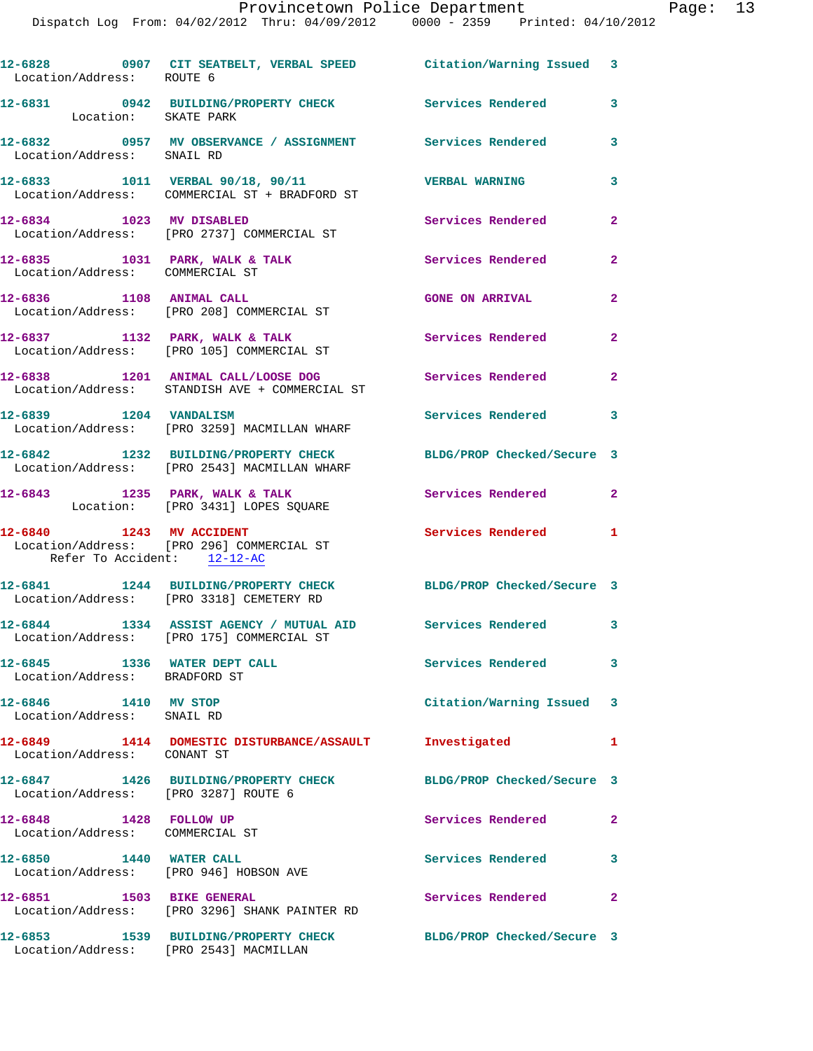Dispatch Log From: 04/02/2012 Thru: 04/09/2012 0000 - 2359 Printed: 04/10/2012

| Location/Address: ROUTE 6                                     | 12-6828 0907 CIT SEATBELT, VERBAL SPEED Citation/Warning Issued 3                                        |                            |                         |
|---------------------------------------------------------------|----------------------------------------------------------------------------------------------------------|----------------------------|-------------------------|
| Location: SKATE PARK                                          | 12-6831 0942 BUILDING/PROPERTY CHECK Services Rendered                                                   |                            | $\overline{\mathbf{3}}$ |
|                                                               | 12-6832     0957   MV OBSERVANCE / ASSIGNMENT       Services Rendered<br>Location/Address:   SNAIL RD    |                            | 3                       |
|                                                               | 12-6833 1011 VERBAL 90/18, 90/11<br>Location/Address: COMMERCIAL ST + BRADFORD ST                        | <b>VERBAL WARNING</b>      | 3                       |
| 12-6834 1023 MV DISABLED                                      | Location/Address: [PRO 2737] COMMERCIAL ST                                                               | Services Rendered          | $\overline{2}$          |
| Location/Address: COMMERCIAL ST                               | 12-6835 1031 PARK, WALK & TALK                                                                           | Services Rendered          | $\overline{2}$          |
|                                                               | 12-6836 1108 ANIMAL CALL<br>Location/Address: [PRO 208] COMMERCIAL ST                                    | <b>GONE ON ARRIVAL</b>     | $\overline{2}$          |
|                                                               | 12-6837 1132 PARK, WALK & TALK<br>Location/Address: [PRO 105] COMMERCIAL ST                              | <b>Services Rendered</b> 2 |                         |
|                                                               | 12-6838 1201 ANIMAL CALL/LOOSE DOG<br>Location/Address: STANDISH AVE + COMMERCIAL ST                     | <b>Services Rendered</b> 2 |                         |
| 12-6839 1204 VANDALISM                                        | Location/Address: [PRO 3259] MACMILLAN WHARF                                                             | Services Rendered          | 3                       |
|                                                               | 12-6842 1232 BUILDING/PROPERTY CHECK<br>Location/Address: [PRO 2543] MACMILLAN WHARF                     | BLDG/PROP Checked/Secure 3 |                         |
|                                                               | $12-6843$ 1235 PARK, WALK & TALK<br>Location: [PRO 3431] LOPES SQUARE                                    | Services Rendered 2        |                         |
| 12-6840 1243 MV ACCIDENT<br>Refer To Accident: 12-12-AC       | Location/Address: [PRO 296] COMMERCIAL ST                                                                | <b>Services Rendered</b> 1 |                         |
|                                                               | 12-6841 1244 BUILDING/PROPERTY CHECK<br>Location/Address: [PRO 3318] CEMETERY RD                         | BLDG/PROP Checked/Secure 3 |                         |
|                                                               | 12-6844 1334 ASSIST AGENCY / MUTUAL AID Services Rendered 3<br>Location/Address: [PRO 175] COMMERCIAL ST |                            |                         |
| 12-6845 1336 WATER DEPT CALL<br>Location/Address: BRADFORD ST |                                                                                                          | <b>Services Rendered</b>   | 3                       |
| 12-6846 1410 MV STOP<br>Location/Address: SNAIL RD            |                                                                                                          | Citation/Warning Issued 3  |                         |
| Location/Address: CONANT ST                                   | 12-6849 1414 DOMESTIC DISTURBANCE/ASSAULT                                                                | Investigated               | 1                       |
| Location/Address: [PRO 3287] ROUTE 6                          | 12-6847 1426 BUILDING/PROPERTY CHECK                                                                     | BLDG/PROP Checked/Secure 3 |                         |
| 12-6848 1428 FOLLOW UP<br>Location/Address: COMMERCIAL ST     |                                                                                                          | Services Rendered          | $\mathbf{2}$            |
| 12-6850 1440 WATER CALL                                       | Location/Address: [PRO 946] HOBSON AVE                                                                   | <b>Services Rendered</b>   | 3                       |
| 12-6851 1503 BIKE GENERAL                                     | Location/Address: [PRO 3296] SHANK PAINTER RD                                                            | Services Rendered          | $\mathbf{2}$            |
|                                                               | 12-6853 1539 BUILDING/PROPERTY CHECK<br>Location/Address: [PRO 2543] MACMILLAN                           | BLDG/PROP Checked/Secure 3 |                         |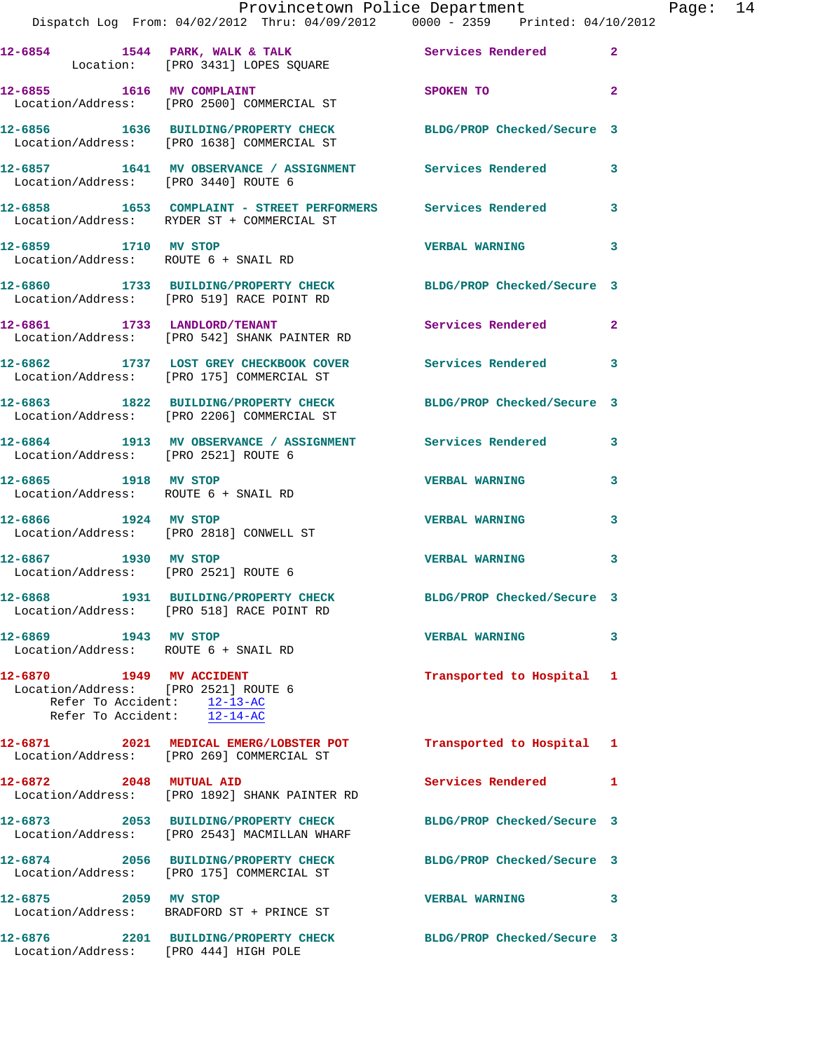|                                                                                                                           | Provincetown Police Department                                                                                |                            |                |
|---------------------------------------------------------------------------------------------------------------------------|---------------------------------------------------------------------------------------------------------------|----------------------------|----------------|
|                                                                                                                           | 12-6854 1544 PARK, WALK & TALK 1999 Services Rendered<br>Location: [PRO 3431] LOPES SQUARE                    |                            | $\overline{a}$ |
|                                                                                                                           | 12-6855 1616 MV COMPLAINT<br>Location/Address: [PRO 2500] COMMERCIAL ST                                       | SPOKEN TO                  | $\overline{a}$ |
|                                                                                                                           | 12-6856 1636 BUILDING/PROPERTY CHECK BLDG/PROP Checked/Secure 3<br>Location/Address: [PRO 1638] COMMERCIAL ST |                            |                |
|                                                                                                                           | 12-6857 1641 MV OBSERVANCE / ASSIGNMENT Services Rendered<br>Location/Address: [PRO 3440] ROUTE 6             |                            | 3              |
|                                                                                                                           | 12-6858 1653 COMPLAINT - STREET PERFORMERS Services Rendered<br>Location/Address: RYDER ST + COMMERCIAL ST    |                            | 3              |
| 12-6859 1710 MV STOP<br>Location/Address: ROUTE 6 + SNAIL RD                                                              |                                                                                                               | <b>VERBAL WARNING</b>      | 3              |
|                                                                                                                           | 12-6860 1733 BUILDING/PROPERTY CHECK<br>Location/Address: [PRO 519] RACE POINT RD                             | BLDG/PROP Checked/Secure 3 |                |
|                                                                                                                           | 12-6861 1733 LANDLORD/TENANT<br>Location/Address: [PRO 542] SHANK PAINTER RD                                  | Services Rendered          | $\mathbf{2}$   |
|                                                                                                                           | 12-6862 1737 LOST GREY CHECKBOOK COVER Services Rendered<br>Location/Address: [PRO 175] COMMERCIAL ST         |                            | 3              |
|                                                                                                                           | 12-6863 1822 BUILDING/PROPERTY CHECK BLDG/PROP Checked/Secure 3<br>Location/Address: [PRO 2206] COMMERCIAL ST |                            |                |
| Location/Address: [PRO 2521] ROUTE 6                                                                                      | 12-6864 1913 MV OBSERVANCE / ASSIGNMENT Services Rendered                                                     |                            | 3              |
| 12-6865 1918 MV STOP<br>Location/Address: ROUTE 6 + SNAIL RD                                                              |                                                                                                               | <b>VERBAL WARNING</b>      | 3              |
| 12-6866 1924 MV STOP                                                                                                      | Location/Address: [PRO 2818] CONWELL ST                                                                       | <b>VERBAL WARNING</b>      | 3              |
| 12-6867 1930 MV STOP<br>Location/Address: [PRO 2521] ROUTE 6                                                              |                                                                                                               | <b>VERBAL WARNING</b>      | 3              |
|                                                                                                                           | 12-6868 1931 BUILDING/PROPERTY CHECK<br>Location/Address: [PRO 518] RACE POINT RD                             | BLDG/PROP Checked/Secure 3 |                |
| 12-6869 1943 MV STOP<br>Location/Address: ROUTE 6 + SNAIL RD                                                              |                                                                                                               | <b>VERBAL WARNING</b>      | 3              |
| 12-6870   1949 MV ACCIDENT<br>Location/Address: [PRO 2521] ROUTE 6<br>Refer To Accident: $12-13-AC$<br>Refer To Accident: | $12 - 14 - AC$                                                                                                | Transported to Hospital    | 1              |
|                                                                                                                           | 12-6871 2021 MEDICAL EMERG/LOBSTER POT<br>Location/Address: [PRO 269] COMMERCIAL ST                           | Transported to Hospital    | 1              |
| 12-6872 2048 MUTUAL AID                                                                                                   | Location/Address: [PRO 1892] SHANK PAINTER RD                                                                 | <b>Services Rendered</b>   | 1              |
|                                                                                                                           | 12-6873 2053 BUILDING/PROPERTY CHECK<br>Location/Address: [PRO 2543] MACMILLAN WHARF                          | BLDG/PROP Checked/Secure 3 |                |
|                                                                                                                           | 12-6874 2056 BUILDING/PROPERTY CHECK<br>Location/Address: [PRO 175] COMMERCIAL ST                             | BLDG/PROP Checked/Secure 3 |                |
| 12-6875 2059 MV STOP                                                                                                      | Location/Address: BRADFORD ST + PRINCE ST                                                                     | <b>VERBAL WARNING</b>      | 3              |
| 12-6876                                                                                                                   | 2201 BUILDING/PROPERTY CHECK                                                                                  | BLDG/PROP Checked/Secure 3 |                |

Location/Address: [PRO 444] HIGH POLE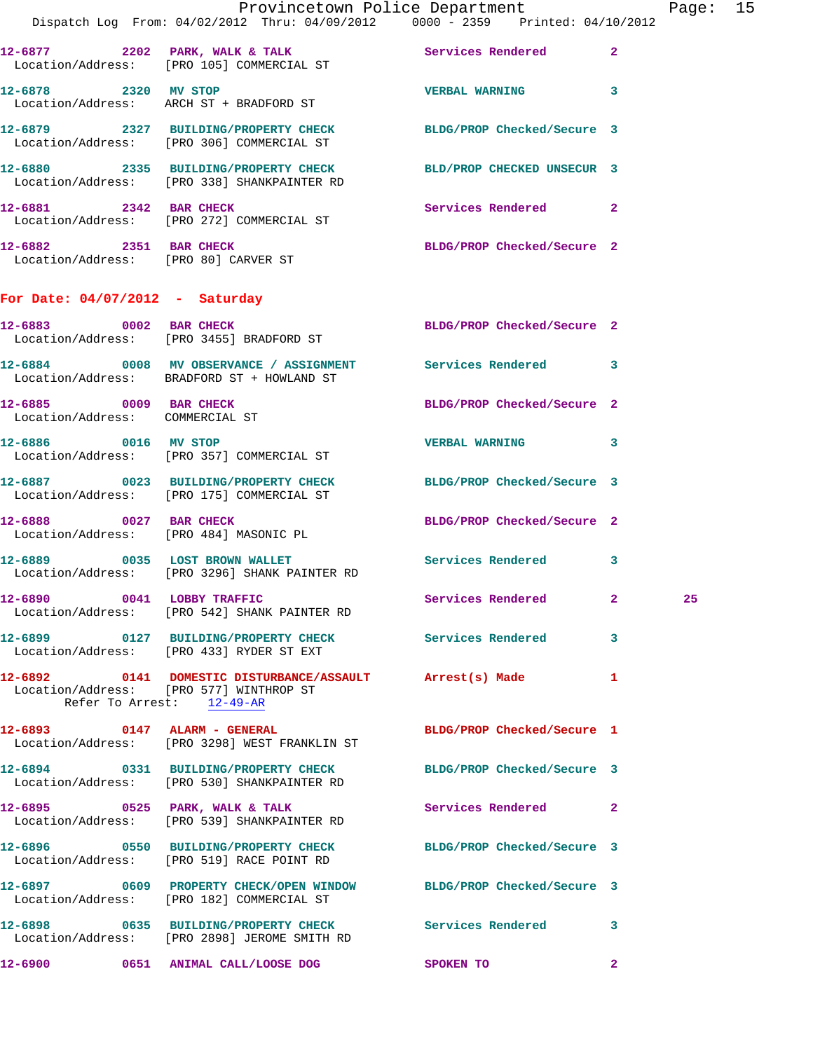| <b>Contract</b>                                           | Provincetown Police Department<br>Dispatch Log From: 04/02/2012 Thru: 04/09/2012 0000 - 2359 Printed: 04/10/2012                 |                            |              | Page: 15 |  |
|-----------------------------------------------------------|----------------------------------------------------------------------------------------------------------------------------------|----------------------------|--------------|----------|--|
|                                                           | 12-6877 2202 PARK, WALK & TALK Services Rendered 2<br>Location/Address: [PRO 105] COMMERCIAL ST                                  |                            |              |          |  |
| 12-6878 2320 MV STOP                                      | Location/Address: ARCH ST + BRADFORD ST                                                                                          | VERBAL WARNING 3           |              |          |  |
|                                                           | 12-6879 2327 BUILDING/PROPERTY CHECK BLDG/PROP Checked/Secure 3<br>Location/Address: [PRO 306] COMMERCIAL ST                     |                            |              |          |  |
|                                                           | 12-6880 2335 BUILDING/PROPERTY CHECK BLD/PROP CHECKED UNSECUR 3<br>Location/Address: [PRO 338] SHANKPAINTER RD                   |                            |              |          |  |
|                                                           | 12-6881 2342 BAR CHECK<br>Location/Address: [PRO 272] COMMERCIAL ST                                                              | Services Rendered 2        |              |          |  |
|                                                           | 12-6882 2351 BAR CHECK<br>Location/Address: [PRO 80] CARVER ST                                                                   | BLDG/PROP Checked/Secure 2 |              |          |  |
| For Date: $04/07/2012$ - Saturday                         |                                                                                                                                  |                            |              |          |  |
|                                                           | 12-6883 0002 BAR CHECK<br>Location/Address: [PRO 3455] BRADFORD ST                                                               | BLDG/PROP Checked/Secure 2 |              |          |  |
|                                                           | 12-6884 0008 MV OBSERVANCE / ASSIGNMENT Services Rendered 3<br>Location/Address: BRADFORD ST + HOWLAND ST                        |                            |              |          |  |
| 12-6885 0009 BAR CHECK<br>Location/Address: COMMERCIAL ST |                                                                                                                                  | BLDG/PROP Checked/Secure 2 |              |          |  |
|                                                           | 12-6886 0016 MV STOP<br>Location/Address: [PRO 357] COMMERCIAL ST                                                                | VERBAL WARNING 3           |              |          |  |
|                                                           | 12-6887 0023 BUILDING/PROPERTY CHECK BLDG/PROP Checked/Secure 3<br>Location/Address: [PRO 175] COMMERCIAL ST                     |                            |              |          |  |
|                                                           | 12-6888 0027 BAR CHECK<br>Location/Address: [PRO 484] MASONIC PL                                                                 | BLDG/PROP Checked/Secure 2 |              |          |  |
|                                                           | 12-6889 0035 LOST BROWN WALLET<br>Location/Address: [PRO 3296] SHANK PAINTER RD                                                  | Services Rendered 3        |              |          |  |
|                                                           | 12-6890 0041 LOBBY TRAFFIC<br>Location/Address: [PRO 542] SHANK PAINTER RD                                                       | Services Rendered 2        |              | 25       |  |
|                                                           | 12-6899 0127 BUILDING/PROPERTY CHECK Services Rendered 3<br>Location/Address: [PRO 433] RYDER ST EXT                             |                            |              |          |  |
|                                                           | 12-6892 0141 DOMESTIC DISTURBANCE/ASSAULT Arrest(s) Made<br>Location/Address: [PRO 577] WINTHROP ST<br>Refer To Arrest: 12-49-AR |                            | 1            |          |  |
|                                                           | 12-6893 0147 ALARM - GENERAL<br>Location/Address: [PRO 3298] WEST FRANKLIN ST                                                    | BLDG/PROP Checked/Secure 1 |              |          |  |
|                                                           | 12-6894 0331 BUILDING/PROPERTY CHECK BLDG/PROP Checked/Secure 3<br>Location/Address: [PRO 530] SHANKPAINTER RD                   |                            |              |          |  |
|                                                           | 12-6895 0525 PARK, WALK & TALK<br>Location/Address: [PRO 539] SHANKPAINTER RD                                                    | Services Rendered 2        |              |          |  |
|                                                           | 12-6896 0550 BUILDING/PROPERTY CHECK<br>Location/Address: [PRO 519] RACE POINT RD                                                | BLDG/PROP Checked/Secure 3 |              |          |  |
|                                                           | 12-6897 0609 PROPERTY CHECK/OPEN WINDOW BLDG/PROP Checked/Secure 3<br>Location/Address: [PRO 182] COMMERCIAL ST                  |                            |              |          |  |
|                                                           | 12-6898 0635 BUILDING/PROPERTY CHECK Services Rendered 3<br>Location/Address: [PRO 2898] JEROME SMITH RD                         |                            |              |          |  |
|                                                           | 12-6900 0651 ANIMAL CALL/LOOSE DOG                                                                                               | SPOKEN TO                  | $\mathbf{2}$ |          |  |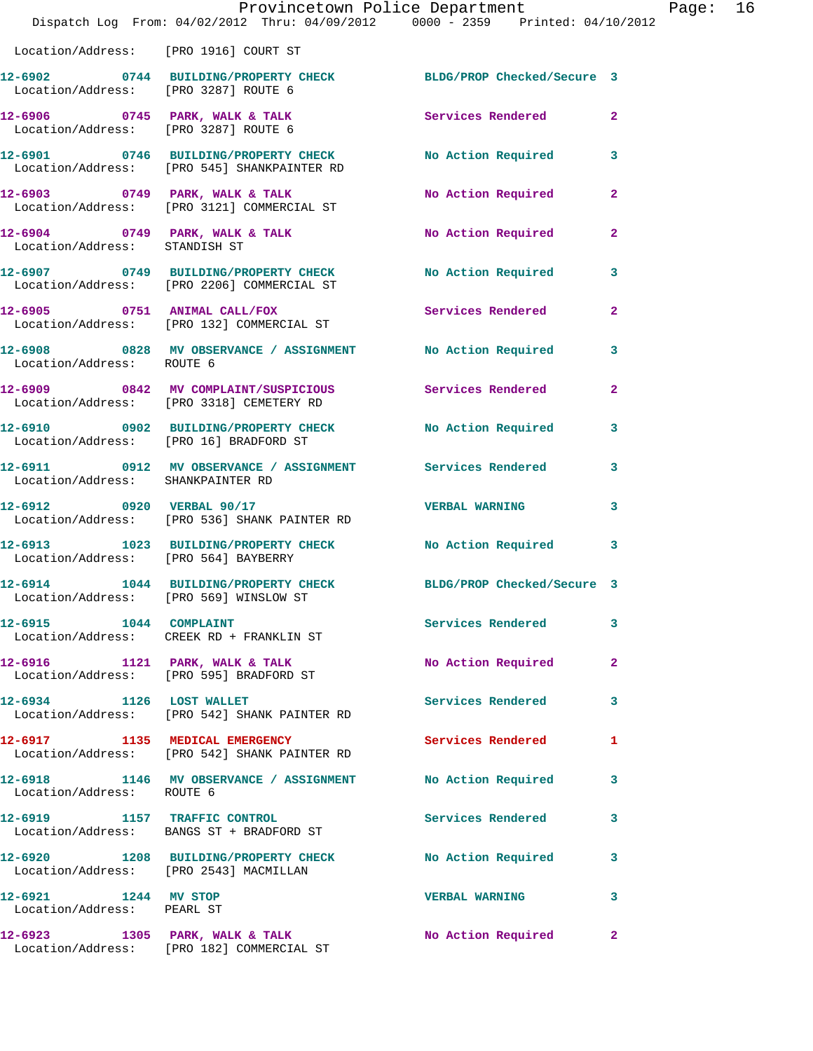|                                                    | Provincetown Police Department<br>Dispatch Log From: 04/02/2012 Thru: 04/09/2012 0000 - 2359 Printed: 04/10/2012 |                            |                |
|----------------------------------------------------|------------------------------------------------------------------------------------------------------------------|----------------------------|----------------|
| Location/Address: [PRO 1916] COURT ST              |                                                                                                                  |                            |                |
|                                                    | 12-6902 0744 BUILDING/PROPERTY CHECK BLDG/PROP Checked/Secure 3<br>Location/Address: [PRO 3287] ROUTE 6          |                            |                |
| Location/Address: [PRO 3287] ROUTE 6               | 12-6906 0745 PARK, WALK & TALK 1988 Services Rendered                                                            |                            | $\overline{2}$ |
|                                                    | 12-6901 0746 BUILDING/PROPERTY CHECK<br>Location/Address: [PRO 545] SHANKPAINTER RD                              | No Action Required         | 3              |
|                                                    | $12-6903$ 0749 PARK, WALK & TALK<br>Location/Address: [PRO 3121] COMMERCIAL ST                                   | No Action Required         | 2              |
| Location/Address: STANDISH ST                      | $12-6904$ 0749 PARK, WALK & TALK                                                                                 | <b>No Action Required</b>  | $\mathbf{2}$   |
|                                                    | 12-6907 0749 BUILDING/PROPERTY CHECK<br>Location/Address: [PRO 2206] COMMERCIAL ST                               | <b>No Action Required</b>  | 3              |
|                                                    | 12-6905 0751 ANIMAL CALL/FOX<br>Location/Address: [PRO 132] COMMERCIAL ST                                        | <b>Services Rendered</b>   | $\overline{a}$ |
| Location/Address: ROUTE 6                          | 12-6908 0828 MV OBSERVANCE / ASSIGNMENT                                                                          | No Action Required         | 3              |
|                                                    | 12-6909 0842 MV COMPLAINT/SUSPICIOUS Services Rendered<br>Location/Address: [PRO 3318] CEMETERY RD               |                            | $\mathbf{2}$   |
| Location/Address: [PRO 16] BRADFORD ST             | 12-6910 0902 BUILDING/PROPERTY CHECK                                                                             | <b>No Action Required</b>  | 3              |
| Location/Address: SHANKPAINTER RD                  | 12-6911 0912 MV OBSERVANCE / ASSIGNMENT Services Rendered                                                        |                            | 3              |
|                                                    | 12-6912 0920 VERBAL 90/17<br>Location/Address: [PRO 536] SHANK PAINTER RD                                        | <b>VERBAL WARNING</b>      | 3              |
| Location/Address: [PRO 564] BAYBERRY               | 12-6913 1023 BUILDING/PROPERTY CHECK                                                                             | <b>No Action Required</b>  | 3              |
| Location/Address: [PRO 569] WINSLOW ST             | 12-6914 1044 BUILDING/PROPERTY CHECK                                                                             | BLDG/PROP Checked/Secure 3 |                |
| 12-6915 1044 COMPLAINT                             | Location/Address: CREEK RD + FRANKLIN ST                                                                         | Services Rendered          | 3              |
| Location/Address: [PRO 595] BRADFORD ST            | $12-6916$ 1121 PARK, WALK & TALK                                                                                 | No Action Required         | $\mathbf{2}$   |
| 12-6934 1126 LOST WALLET                           | Location/Address: [PRO 542] SHANK PAINTER RD                                                                     | <b>Services Rendered</b>   | 3              |
|                                                    | 12-6917 1135 MEDICAL EMERGENCY<br>Location/Address: [PRO 542] SHANK PAINTER RD                                   | Services Rendered          | 1              |
| Location/Address: ROUTE 6                          | 12-6918 1146 MV OBSERVANCE / ASSIGNMENT No Action Required                                                       |                            | 3              |
|                                                    | 12-6919 1157 TRAFFIC CONTROL<br>Location/Address: BANGS ST + BRADFORD ST                                         | <b>Services Rendered</b>   | 3              |
| Location/Address: [PRO 2543] MACMILLAN             | 12-6920 1208 BUILDING/PROPERTY CHECK                                                                             | <b>No Action Required</b>  | 3              |
| 12-6921 1244 MV STOP<br>Location/Address: PEARL ST |                                                                                                                  | <b>VERBAL WARNING</b>      | 3              |
|                                                    | $12-6923$ 1305 PARK, WALK & TALK<br>Location/Address: [PRO 182] COMMERCIAL ST                                    | No Action Required         | 2              |

Page:  $16$ <br> $12$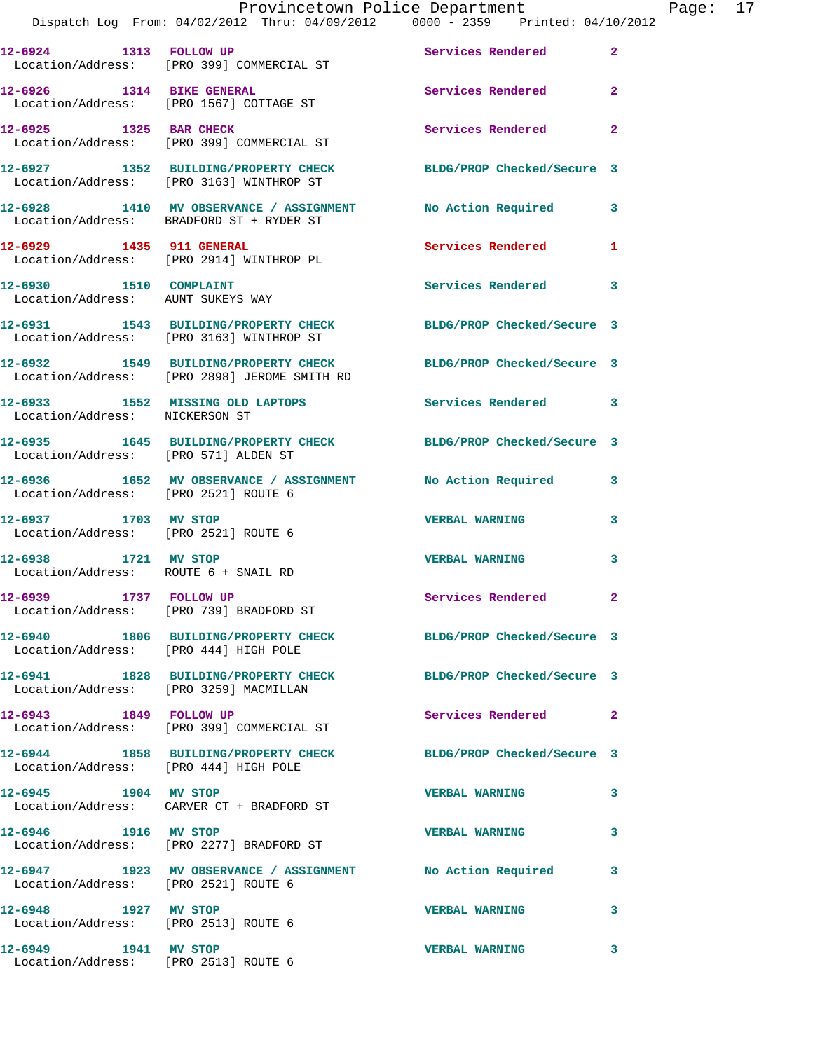|                                                              | Provincetown Police Department The Page: 17<br>Dispatch Log From: 04/02/2012 Thru: 04/09/2012   0000 - 2359   Printed: 04/10/2012 |                            |              |  |
|--------------------------------------------------------------|-----------------------------------------------------------------------------------------------------------------------------------|----------------------------|--------------|--|
|                                                              | 12-6924 1313 FOLLOW UP<br>Location/Address: [PRO 399] COMMERCIAL ST                                                               | Services Rendered          | $\mathbf{2}$ |  |
|                                                              | 12-6926 1314 BIKE GENERAL<br>Location/Address: [PRO 1567] COTTAGE ST                                                              | Services Rendered          | $\mathbf{2}$ |  |
|                                                              | 12-6925 1325 BAR CHECK<br>Location/Address: [PRO 399] COMMERCIAL ST                                                               | Services Rendered          | $\mathbf{2}$ |  |
|                                                              | 12-6927 1352 BUILDING/PROPERTY CHECK BLDG/PROP Checked/Secure 3<br>Location/Address: [PRO 3163] WINTHROP ST                       |                            |              |  |
|                                                              | 12-6928 1410 MV OBSERVANCE / ASSIGNMENT No Action Required 3<br>Location/Address: BRADFORD ST + RYDER ST                          |                            |              |  |
|                                                              | 12-6929 1435 911 GENERAL<br>Location/Address: [PRO 2914] WINTHROP PL                                                              | Services Rendered 1        |              |  |
| 12-6930 1510 COMPLAINT                                       | Location/Address: AUNT SUKEYS WAY                                                                                                 | Services Rendered 3        |              |  |
|                                                              | 12-6931 1543 BUILDING/PROPERTY CHECK BLDG/PROP Checked/Secure 3<br>Location/Address: [PRO 3163] WINTHROP ST                       |                            |              |  |
|                                                              | 12-6932 1549 BUILDING/PROPERTY CHECK BLDG/PROP Checked/Secure 3<br>Location/Address: [PRO 2898] JEROME SMITH RD                   |                            |              |  |
| Location/Address: NICKERSON ST                               | 12-6933 1552 MISSING OLD LAPTOPS Services Rendered 3                                                                              |                            |              |  |
| Location/Address: [PRO 571] ALDEN ST                         | 12-6935 1645 BUILDING/PROPERTY CHECK BLDG/PROP Checked/Secure 3                                                                   |                            |              |  |
| Location/Address: [PRO 2521] ROUTE 6                         | 12-6936 1652 MV OBSERVANCE / ASSIGNMENT No Action Required 3                                                                      |                            |              |  |
| 12-6937 1703 MV STOP                                         | Location/Address: [PRO 2521] ROUTE 6                                                                                              | <b>VERBAL WARNING</b>      | 3            |  |
| 12-6938 1721 MV STOP<br>Location/Address: ROUTE 6 + SNAIL RD |                                                                                                                                   | <b>VERBAL WARNING</b>      | 3            |  |
| 12-6939 1737 FOLLOW UP                                       | Location/Address: [PRO 739] BRADFORD ST                                                                                           | Services Rendered 2        |              |  |
| Location/Address: [PRO 444] HIGH POLE                        | 12-6940 1806 BUILDING/PROPERTY CHECK BLDG/PROP Checked/Secure 3                                                                   |                            |              |  |
| Location/Address: [PRO 3259] MACMILLAN                       | 12-6941 1828 BUILDING/PROPERTY CHECK                                                                                              | BLDG/PROP Checked/Secure 3 |              |  |
|                                                              | 12-6943 1849 FOLLOW UP<br>Location/Address: [PRO 399] COMMERCIAL ST                                                               | Services Rendered          | $\mathbf{2}$ |  |
| Location/Address: [PRO 444] HIGH POLE                        | 12-6944 1858 BUILDING/PROPERTY CHECK BLDG/PROP Checked/Secure 3                                                                   |                            |              |  |
|                                                              | 12-6945 1904 MV STOP<br>Location/Address: CARVER CT + BRADFORD ST                                                                 | <b>VERBAL WARNING</b>      | 3            |  |
| 12-6946 1916 MV STOP                                         | Location/Address: [PRO 2277] BRADFORD ST                                                                                          | <b>VERBAL WARNING</b>      | 3            |  |
| Location/Address: [PRO 2521] ROUTE 6                         | 12-6947 1923 MV OBSERVANCE / ASSIGNMENT No Action Required                                                                        |                            | 3            |  |
| 12-6948 1927 MV STOP<br>Location/Address: [PRO 2513] ROUTE 6 |                                                                                                                                   | <b>VERBAL WARNING</b>      | 3            |  |
| 12-6949 1941 MV STOP<br>Location/Address: [PRO 2513] ROUTE 6 |                                                                                                                                   | <b>VERBAL WARNING</b>      | 3            |  |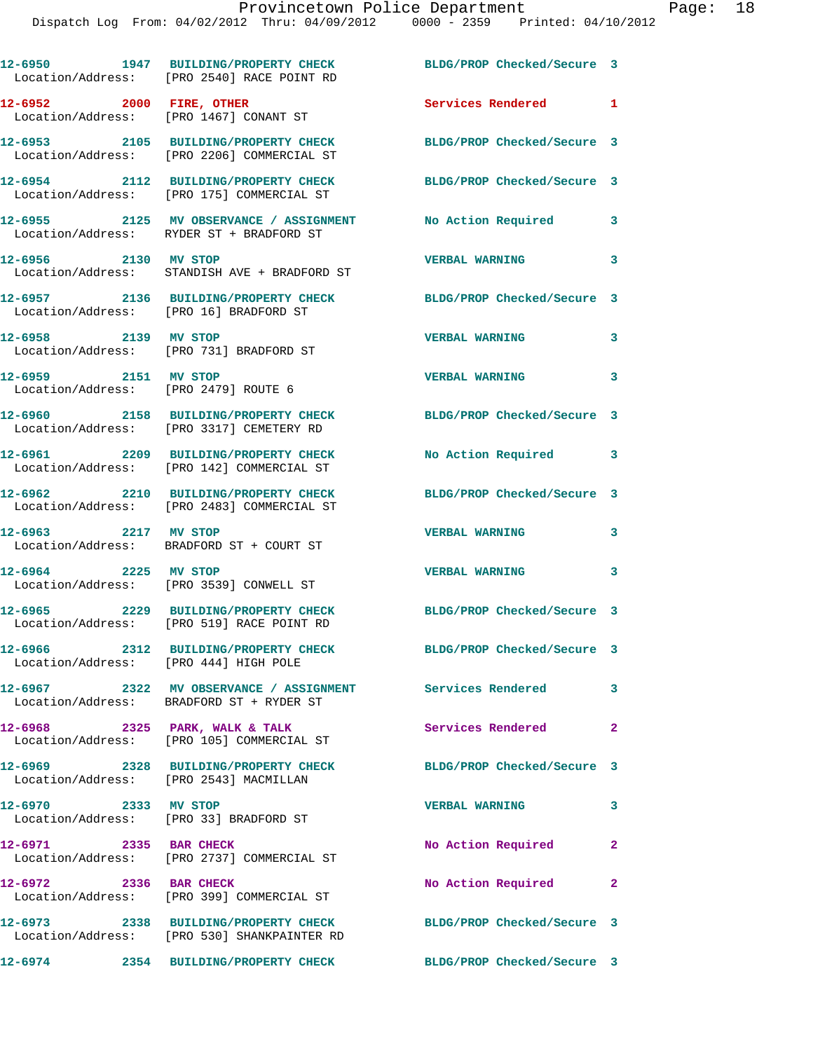|                                                                    | 12-6950 1947 BUILDING/PROPERTY CHECK<br>Location/Address: [PRO 2540] RACE POINT RD                    | BLDG/PROP Checked/Secure 3 |                         |
|--------------------------------------------------------------------|-------------------------------------------------------------------------------------------------------|----------------------------|-------------------------|
| 12-6952 2000 FIRE, OTHER<br>Location/Address: [PRO 1467] CONANT ST |                                                                                                       | Services Rendered 1        |                         |
|                                                                    | 12-6953 2105 BUILDING/PROPERTY CHECK<br>Location/Address: [PRO 2206] COMMERCIAL ST                    | BLDG/PROP Checked/Secure 3 |                         |
|                                                                    | 12-6954 2112 BUILDING/PROPERTY CHECK<br>Location/Address: [PRO 175] COMMERCIAL ST                     | BLDG/PROP Checked/Secure 3 |                         |
|                                                                    | 12-6955 2125 MV OBSERVANCE / ASSIGNMENT<br>Location/Address: RYDER ST + BRADFORD ST                   | No Action Required         | 3                       |
| 12-6956 2130 MV STOP                                               | Location/Address: STANDISH AVE + BRADFORD ST                                                          | <b>VERBAL WARNING</b>      | 3                       |
| Location/Address: [PRO 16] BRADFORD ST                             | 12-6957 2136 BUILDING/PROPERTY CHECK                                                                  | BLDG/PROP Checked/Secure 3 |                         |
| 12-6958 2139 MV STOP                                               | Location/Address: [PRO 731] BRADFORD ST                                                               | <b>VERBAL WARNING</b>      | 3                       |
| 12-6959 2151 MV STOP<br>Location/Address: [PRO 2479] ROUTE 6       |                                                                                                       | <b>VERBAL WARNING</b>      | 3                       |
|                                                                    | 12-6960 2158 BUILDING/PROPERTY CHECK<br>Location/Address: [PRO 3317] CEMETERY RD                      | BLDG/PROP Checked/Secure 3 |                         |
|                                                                    | 12-6961 2209 BUILDING/PROPERTY CHECK<br>Location/Address: [PRO 142] COMMERCIAL ST                     | No Action Required         | $\mathbf{3}$            |
|                                                                    | 12-6962 2210 BUILDING/PROPERTY CHECK<br>Location/Address: [PRO 2483] COMMERCIAL ST                    | BLDG/PROP Checked/Secure 3 |                         |
|                                                                    | 12-6963 2217 MV STOP<br>Location/Address: BRADFORD ST + COURT ST                                      | <b>VERBAL WARNING</b>      | 3                       |
| 12-6964 2225 MV STOP                                               | Location/Address: [PRO 3539] CONWELL ST                                                               | <b>VERBAL WARNING</b>      | 3                       |
|                                                                    | 12-6965 2229 BUILDING/PROPERTY CHECK<br>Location/Address: [PRO 519] RACE POINT RD                     | BLDG/PROP Checked/Secure 3 |                         |
| Location/Address: [PRO 444] HIGH POLE                              | 12-6966 2312 BUILDING/PROPERTY CHECK                                                                  | BLDG/PROP Checked/Secure 3 |                         |
|                                                                    | 12-6967 2322 MV OBSERVANCE / ASSIGNMENT Services Rendered<br>Location/Address: BRADFORD ST + RYDER ST |                            | $\overline{\mathbf{3}}$ |
|                                                                    | $12-6968$ 2325 PARK, WALK & TALK<br>Location/Address: [PRO 105] COMMERCIAL ST                         | Services Rendered 2        |                         |
| Location/Address: [PRO 2543] MACMILLAN                             | 12-6969 2328 BUILDING/PROPERTY CHECK                                                                  | BLDG/PROP Checked/Secure 3 |                         |
| 12-6970 2333 MV STOP                                               | Location/Address: [PRO 33] BRADFORD ST                                                                | <b>VERBAL WARNING</b>      | $\mathbf{3}$            |
| 12-6971 2335 BAR CHECK                                             | Location/Address: [PRO 2737] COMMERCIAL ST                                                            | No Action Required         | $\mathbf{2}$            |
| 12-6972 2336 BAR CHECK                                             | Location/Address: [PRO 399] COMMERCIAL ST                                                             | No Action Required         | $\mathbf{2}$            |
|                                                                    | 12-6973 2338 BUILDING/PROPERTY CHECK<br>Location/Address: [PRO 530] SHANKPAINTER RD                   | BLDG/PROP Checked/Secure 3 |                         |
|                                                                    | 12-6974 2354 BUILDING/PROPERTY CHECK                                                                  | BLDG/PROP Checked/Secure 3 |                         |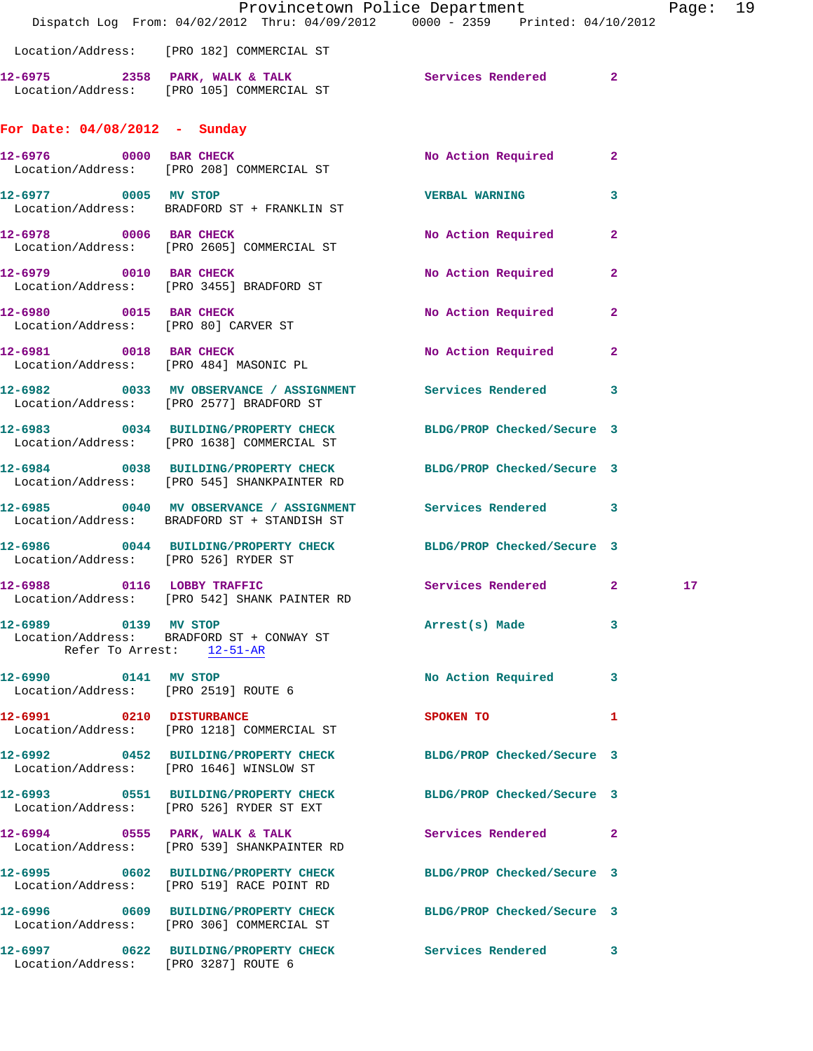|                                                              | Dispatch Log From: 04/02/2012 Thru: 04/09/2012 0000 - 2359 Printed: 04/10/2012                                 | Provincetown Police Department          |                         | Page: 19        |  |
|--------------------------------------------------------------|----------------------------------------------------------------------------------------------------------------|-----------------------------------------|-------------------------|-----------------|--|
|                                                              | Location/Address: [PRO 182] COMMERCIAL ST                                                                      |                                         |                         |                 |  |
|                                                              | 12-6975 2358 PARK, WALK & TALK CHARA Services Rendered 2<br>Location/Address: [PRO 105] COMMERCIAL ST          |                                         |                         |                 |  |
| For Date: 04/08/2012 - Sunday                                |                                                                                                                |                                         |                         |                 |  |
|                                                              | 12-6976 0000 BAR CHECK<br>Location/Address: [PRO 208] COMMERCIAL ST                                            | No Action Required 2                    |                         |                 |  |
| 12-6977 0005 MV STOP                                         | Location/Address: BRADFORD ST + FRANKLIN ST                                                                    | <b>VERBAL WARNING</b>                   | $\overline{\mathbf{3}}$ |                 |  |
|                                                              | 12-6978 0006 BAR CHECK<br>Location/Address: [PRO 2605] COMMERCIAL ST                                           | No Action Required                      | $\overline{2}$          |                 |  |
|                                                              | 12-6979 0010 BAR CHECK<br>Location/Address: [PRO 3455] BRADFORD ST                                             | No Action Required 2                    |                         |                 |  |
| 12-6980 0015 BAR CHECK                                       | Location/Address: [PRO 80] CARVER ST                                                                           | No Action Required 2                    |                         |                 |  |
| Location/Address: [PRO 484] MASONIC PL                       | 12-6981 0018 BAR CHECK                                                                                         | No Action Required 2                    |                         |                 |  |
|                                                              | 12-6982 0033 MV OBSERVANCE / ASSIGNMENT Services Rendered 3<br>Location/Address: [PRO 2577] BRADFORD ST        |                                         |                         |                 |  |
|                                                              | 12-6983 0034 BUILDING/PROPERTY CHECK BLDG/PROP Checked/Secure 3<br>Location/Address: [PRO 1638] COMMERCIAL ST  |                                         |                         |                 |  |
|                                                              | 12-6984 0038 BUILDING/PROPERTY CHECK BLDG/PROP Checked/Secure 3                                                |                                         |                         |                 |  |
|                                                              | Location/Address: [PRO 545] SHANKPAINTER RD<br>12-6985 0040 MV OBSERVANCE / ASSIGNMENT Services Rendered 3     |                                         |                         |                 |  |
|                                                              | Location/Address: BRADFORD ST + STANDISH ST<br>12-6986 0044 BUILDING/PROPERTY CHECK BLDG/PROP Checked/Secure 3 |                                         |                         |                 |  |
| Location/Address: [PRO 526] RYDER ST                         | 12-6988 0116 LOBBY TRAFFIC<br>Location/Address: [PRO 542] SHANK PAINTER RD                                     | Services Rendered 2                     |                         | 17 <sub>1</sub> |  |
| 12-6989 0139 MV STOP                                         | Location/Address: BRADFORD ST + CONWAY ST<br>Refer To Arrest: 12-51-AR                                         | Arrest(s) Made 3                        |                         |                 |  |
| 12-6990 0141 MV STOP<br>Location/Address: [PRO 2519] ROUTE 6 |                                                                                                                | No Action Required 3                    |                         |                 |  |
| 12-6991 0210 DISTURBANCE                                     | Location/Address: [PRO 1218] COMMERCIAL ST                                                                     | SPOKEN TO DESCRIPTION OF REAL PROPERTY. | 1                       |                 |  |
|                                                              | 12-6992 0452 BUILDING/PROPERTY CHECK BLDG/PROP Checked/Secure 3<br>Location/Address: [PRO 1646] WINSLOW ST     |                                         |                         |                 |  |
|                                                              | 12-6993 0551 BUILDING/PROPERTY CHECK BLDG/PROP Checked/Secure 3<br>Location/Address: [PRO 526] RYDER ST EXT    |                                         |                         |                 |  |
|                                                              | 12-6994 0555 PARK, WALK & TALK<br>Location/Address: [PRO 539] SHANKPAINTER RD                                  | Services Rendered 2                     |                         |                 |  |
|                                                              | 12-6995 0602 BUILDING/PROPERTY CHECK BLDG/PROP Checked/Secure 3<br>Location/Address: [PRO 519] RACE POINT RD   |                                         |                         |                 |  |
|                                                              | 12-6996 0609 BUILDING/PROPERTY CHECK BLDG/PROP Checked/Secure 3<br>Location/Address: [PRO 306] COMMERCIAL ST   |                                         |                         |                 |  |
| Location/Address: [PRO 3287] ROUTE 6                         | 12-6997 0622 BUILDING/PROPERTY CHECK Services Rendered 3                                                       |                                         |                         |                 |  |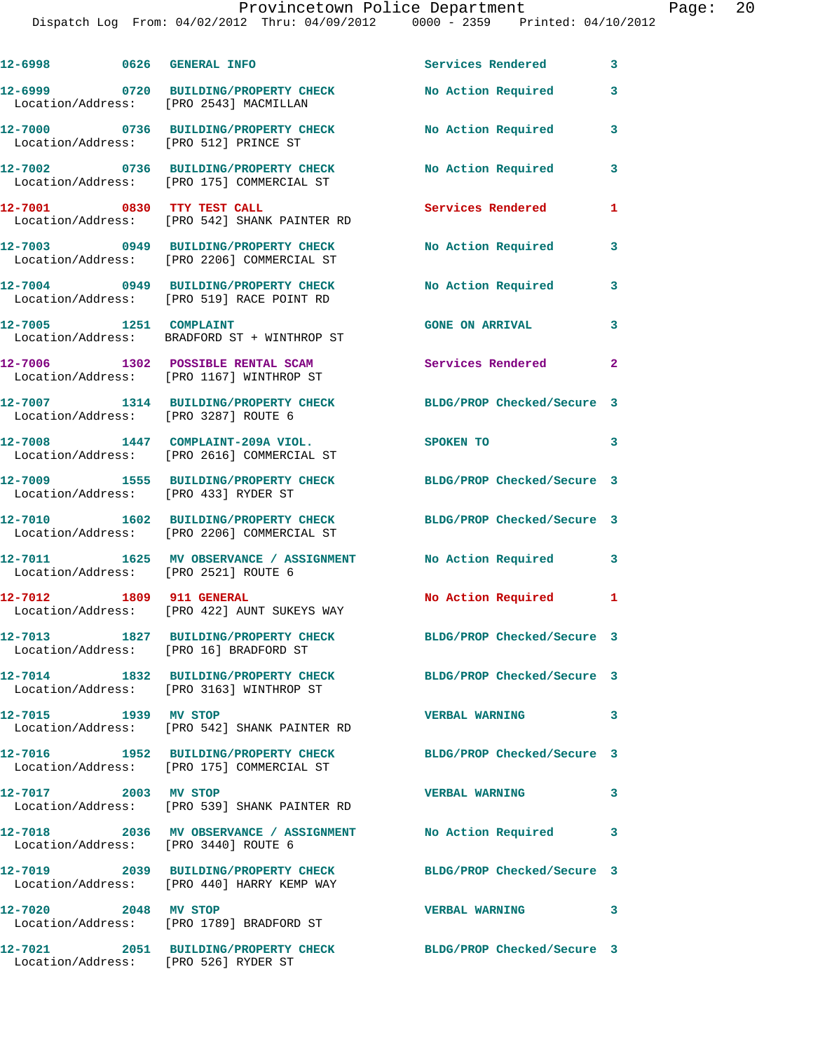Dispatch Log From: 04/02/2012 Thru: 04/09/2012 0000 - 2359 Printed: 04/10/2012

| 12-6998 0626 GENERAL INFO              |                                                                                                               | <b>Services Rendered</b>   | 3                       |
|----------------------------------------|---------------------------------------------------------------------------------------------------------------|----------------------------|-------------------------|
| Location/Address: [PRO 2543] MACMILLAN | 12-6999 0720 BUILDING/PROPERTY CHECK                                                                          | No Action Required         | 3                       |
|                                        | 12-7000 0736 BUILDING/PROPERTY CHECK<br>Location/Address: [PRO 512] PRINCE ST                                 | No Action Required         | 3                       |
|                                        | 12-7002 0736 BUILDING/PROPERTY CHECK<br>Location/Address: [PRO 175] COMMERCIAL ST                             | No Action Required         | 3                       |
|                                        | 12-7001 0830 TTY TEST CALL<br>Location/Address: [PRO 542] SHANK PAINTER RD                                    | Services Rendered          | 1                       |
|                                        | 12-7003 0949 BUILDING/PROPERTY CHECK<br>Location/Address: [PRO 2206] COMMERCIAL ST                            | No Action Required         | 3                       |
|                                        | 12-7004 0949 BUILDING/PROPERTY CHECK<br>Location/Address: [PRO 519] RACE POINT RD                             | No Action Required         | 3                       |
| 12-7005 1251 COMPLAINT                 | Location/Address: BRADFORD ST + WINTHROP ST                                                                   | <b>GONE ON ARRIVAL</b>     | 3                       |
|                                        | 12-7006 1302 POSSIBLE RENTAL SCAM<br>Location/Address: [PRO 1167] WINTHROP ST                                 | Services Rendered 2        |                         |
| Location/Address: [PRO 3287] ROUTE 6   | 12-7007 1314 BUILDING/PROPERTY CHECK                                                                          | BLDG/PROP Checked/Secure 3 |                         |
|                                        | 12-7008 1447 COMPLAINT-209A VIOL.<br>Location/Address: [PRO 2616] COMMERCIAL ST                               | SPOKEN TO                  | 3                       |
| Location/Address: [PRO 433] RYDER ST   | 12-7009 1555 BUILDING/PROPERTY CHECK                                                                          | BLDG/PROP Checked/Secure 3 |                         |
|                                        | 12-7010 1602 BUILDING/PROPERTY CHECK BLDG/PROP Checked/Secure 3<br>Location/Address: [PRO 2206] COMMERCIAL ST |                            |                         |
|                                        | 12-7011   1625 MV OBSERVANCE / ASSIGNMENT   No Action Required<br>Location/Address: [PRO 2521] ROUTE 6        |                            | 3                       |
| 12-7012 1809 911 GENERAL               | Location/Address: [PRO 422] AUNT SUKEYS WAY                                                                   | No Action Required 1       |                         |
| Location/Address: [PRO 16] BRADFORD ST | 12-7013 1827 BUILDING/PROPERTY CHECK                                                                          | BLDG/PROP Checked/Secure 3 |                         |
|                                        | 12-7014 1832 BUILDING/PROPERTY CHECK<br>Location/Address: [PRO 3163] WINTHROP ST                              | BLDG/PROP Checked/Secure 3 |                         |
| 12-7015 1939 MV STOP                   | Location/Address: [PRO 542] SHANK PAINTER RD                                                                  | <b>VERBAL WARNING</b>      | 3                       |
|                                        | 12-7016 1952 BUILDING/PROPERTY CHECK<br>Location/Address: [PRO 175] COMMERCIAL ST                             | BLDG/PROP Checked/Secure 3 |                         |
| 12-7017 2003 MV STOP                   | Location/Address: [PRO 539] SHANK PAINTER RD                                                                  | <b>VERBAL WARNING</b>      | 3                       |
| Location/Address: [PRO 3440] ROUTE 6   | 12-7018 2036 MV OBSERVANCE / ASSIGNMENT No Action Required                                                    |                            | 3                       |
|                                        | 12-7019 2039 BUILDING/PROPERTY CHECK BLDG/PROP Checked/Secure 3<br>Location/Address: [PRO 440] HARRY KEMP WAY |                            |                         |
| 12-7020 2048 MV STOP                   | Location/Address: [PRO 1789] BRADFORD ST                                                                      | <b>VERBAL WARNING</b>      | $\overline{\mathbf{3}}$ |
| 12-7021                                | 2051 BUILDING/PROPERTY CHECK BLDG/PROP Checked/Secure 3                                                       |                            |                         |

Location/Address: [PRO 526] RYDER ST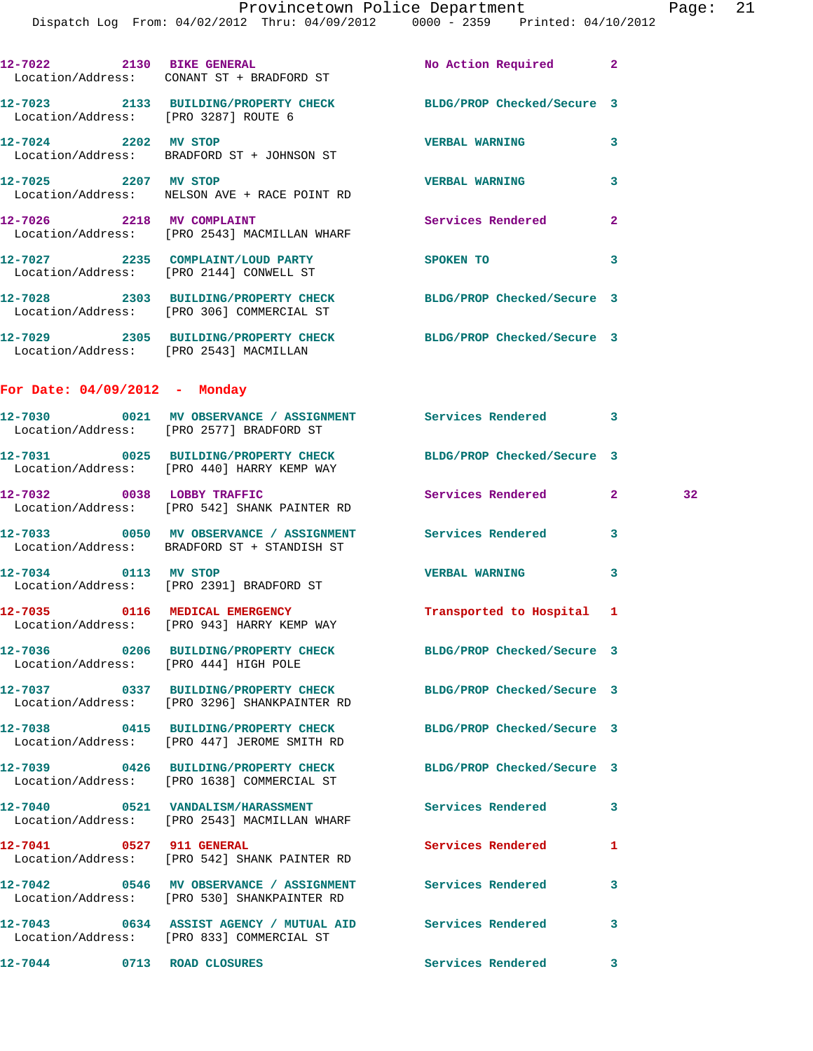|                                 | 12-7022 2130 BIKE GENERAL<br>Location/Address: CONANT ST + BRADFORD ST                                         | No Action Required 2       |              |    |
|---------------------------------|----------------------------------------------------------------------------------------------------------------|----------------------------|--------------|----|
|                                 | 12-7023 2133 BUILDING/PROPERTY CHECK BLDG/PROP Checked/Secure 3<br>Location/Address: [PRO 3287] ROUTE 6        |                            |              |    |
| 12-7024 2202 MV STOP            | Location/Address: BRADFORD ST + JOHNSON ST                                                                     | <b>VERBAL WARNING</b>      | 3            |    |
| 12-7025 2207 MV STOP            | Location/Address: NELSON AVE + RACE POINT RD                                                                   | <b>VERBAL WARNING</b>      | 3            |    |
|                                 | 12-7026 2218 MV COMPLAINT<br>Location/Address: [PRO 2543] MACMILLAN WHARF                                      | Services Rendered          | $\mathbf{2}$ |    |
|                                 | 12-7027 2235 COMPLAINT/LOUD PARTY<br>Location/Address: [PRO 2144] CONWELL ST                                   | <b>SPOKEN TO</b>           | 3            |    |
|                                 | 12-7028 2303 BUILDING/PROPERTY CHECK<br>Location/Address: [PRO 306] COMMERCIAL ST                              | BLDG/PROP Checked/Secure 3 |              |    |
|                                 | 12-7029 2305 BUILDING/PROPERTY CHECK BLDG/PROP Checked/Secure 3<br>Location/Address: [PRO 2543] MACMILLAN      |                            |              |    |
| For Date: $04/09/2012$ - Monday |                                                                                                                |                            |              |    |
|                                 | 12-7030 0021 MV OBSERVANCE / ASSIGNMENT Services Rendered 3<br>Location/Address: [PRO 2577] BRADFORD ST        |                            |              |    |
|                                 | 12-7031 0025 BUILDING/PROPERTY CHECK BLDG/PROP Checked/Secure 3<br>Location/Address: [PRO 440] HARRY KEMP WAY  |                            |              |    |
|                                 | 12-7032 0038 LOBBY TRAFFIC<br>Location/Address: [PRO 542] SHANK PAINTER RD                                     | Services Rendered          | $\mathbf{2}$ | 32 |
|                                 | 12-7033 6050 MV OBSERVANCE / ASSIGNMENT Services Rendered 3<br>Location/Address: BRADFORD ST + STANDISH ST     |                            |              |    |
|                                 | 12-7034 0113 MV STOP<br>Location/Address: [PRO 2391] BRADFORD ST                                               | <b>VERBAL WARNING</b>      | 3            |    |
|                                 | 12-7035 0116 MEDICAL EMERGENCY<br>Location/Address: [PRO 943] HARRY KEMP WAY                                   | Transported to Hospital 1  |              |    |
|                                 | 12-7036 0206 BUILDING/PROPERTY CHECK BLDG/PROP Checked/Secure 3<br>Location/Address: [PRO 444] HIGH POLE       |                            |              |    |
|                                 | 12-7037 0337 BUILDING/PROPERTY CHECK<br>Location/Address: [PRO 3296] SHANKPAINTER RD                           | BLDG/PROP Checked/Secure 3 |              |    |
|                                 | 12-7038 0415 BUILDING/PROPERTY CHECK BLDG/PROP Checked/Secure 3<br>Location/Address: [PRO 447] JEROME SMITH RD |                            |              |    |
|                                 | 12-7039 0426 BUILDING/PROPERTY CHECK<br>Location/Address: [PRO 1638] COMMERCIAL ST                             | BLDG/PROP Checked/Secure 3 |              |    |
|                                 | 12-7040 0521 VANDALISM/HARASSMENT<br>Location/Address: [PRO 2543] MACMILLAN WHARF                              | <b>Services Rendered</b>   | 3            |    |
| 12-7041 0527 911 GENERAL        | Location/Address: [PRO 542] SHANK PAINTER RD                                                                   | <b>Services Rendered</b>   | 1            |    |
|                                 | 12-7042 0546 MV OBSERVANCE / ASSIGNMENT Services Rendered<br>Location/Address: [PRO 530] SHANKPAINTER RD       |                            | 3            |    |
|                                 | 12-7043 0634 ASSIST AGENCY / MUTUAL AID Services Rendered<br>Location/Address: [PRO 833] COMMERCIAL ST         |                            | 3            |    |
| <b>12-7044</b>                  | 0713 ROAD CLOSURES                                                                                             | Services Rendered          | 3            |    |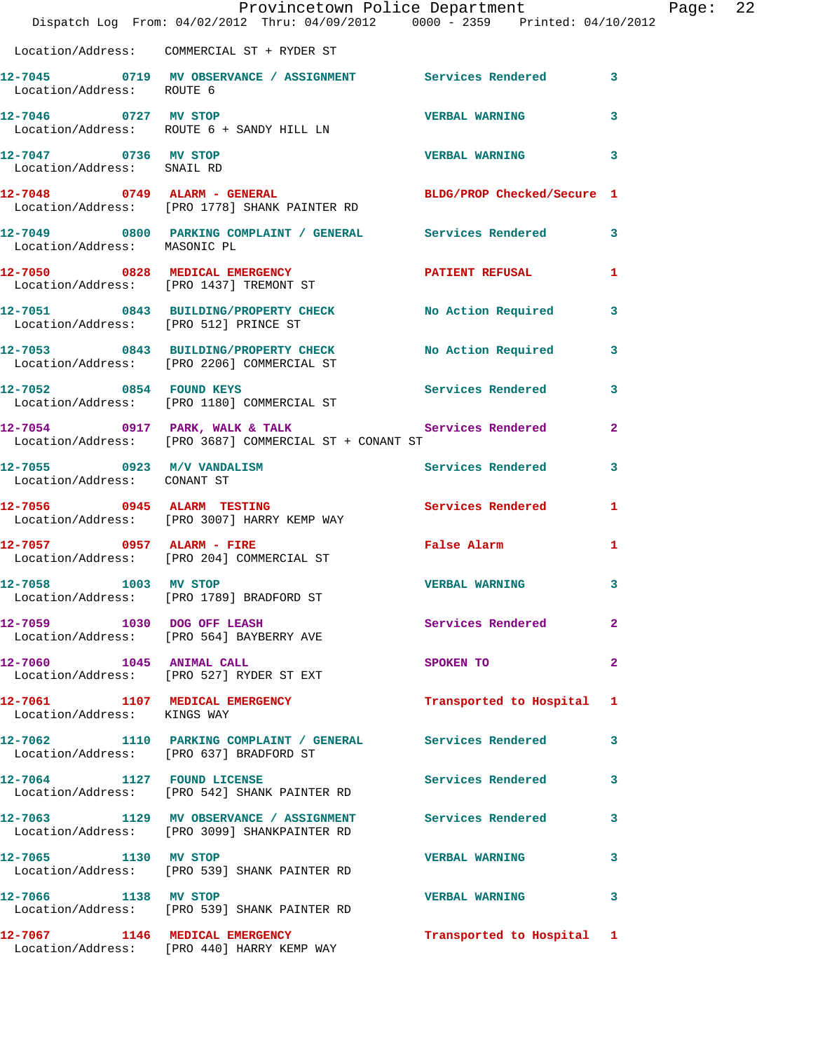|                                                    | Dispatch Log From: 04/02/2012 Thru: 04/09/2012 0000 - 2359 Printed: 04/10/2012                                 | Provincetown Police Department Page: 22 |                         |  |
|----------------------------------------------------|----------------------------------------------------------------------------------------------------------------|-----------------------------------------|-------------------------|--|
|                                                    | Location/Address: COMMERCIAL ST + RYDER ST                                                                     |                                         |                         |  |
| Location/Address: ROUTE 6                          | 12-7045 0719 MV OBSERVANCE / ASSIGNMENT Services Rendered 3                                                    |                                         |                         |  |
|                                                    | 12-7046 0727 MV STOP<br>Location/Address: ROUTE 6 + SANDY HILL LN                                              | <b>VERBAL WARNING</b>                   | 3                       |  |
| 12-7047 0736 MV STOP<br>Location/Address: SNAIL RD |                                                                                                                | <b>VERBAL WARNING 3</b>                 |                         |  |
|                                                    | 12-7048 0749 ALARM - GENERAL BLDG/PROP Checked/Secure 1<br>Location/Address: [PRO 1778] SHANK PAINTER RD       |                                         |                         |  |
| Location/Address: MASONIC PL                       | 12-7049 0800 PARKING COMPLAINT / GENERAL Services Rendered 3                                                   |                                         |                         |  |
|                                                    | 12-7050 0828 MEDICAL EMERGENCY PATIENT REFUSAL 1<br>Location/Address: [PRO 1437] TREMONT ST                    |                                         |                         |  |
|                                                    | 12-7051 0843 BUILDING/PROPERTY CHECK No Action Required 3<br>Location/Address: [PRO 512] PRINCE ST             |                                         |                         |  |
|                                                    | 12-7053 0843 BUILDING/PROPERTY CHECK No Action Required 3<br>Location/Address: [PRO 2206] COMMERCIAL ST        |                                         |                         |  |
|                                                    | Location/Address: [PRO 1180] COMMERCIAL ST                                                                     |                                         |                         |  |
|                                                    | 12-7054 0917 PARK, WALK & TALK 3 Services Rendered 2<br>Location/Address: [PRO 3687] COMMERCIAL ST + CONANT ST |                                         |                         |  |
| Location/Address: CONANT ST                        | 12-7055 0923 M/V VANDALISM                                                                                     | Services Rendered                       | $\overline{\mathbf{3}}$ |  |
|                                                    | 12-7056 0945 ALARM TESTING CONTROL Services Rendered 1<br>Location/Address: [PRO 3007] HARRY KEMP WAY          |                                         |                         |  |
|                                                    | 12-7057 0957 ALARM - FIRE<br>Location/Address: [PRO 204] COMMERCIAL ST                                         | <b>Example 2</b> False Alarm            | $\mathbf{1}$            |  |
| 1003 MV STOP<br>12-7058                            | Location/Address: [PRO 1789] BRADFORD ST                                                                       | <b>VERBAL WARNING</b> 3                 |                         |  |
|                                                    | 12-7059 1030 DOG OFF LEASH<br>Location/Address: [PRO 564] BAYBERRY AVE                                         | Services Rendered                       | -2                      |  |
|                                                    | 12-7060 1045 ANIMAL CALL<br>Location/Address: [PRO 527] RYDER ST EXT                                           | SPOKEN TO                               | $\mathbf{2}$            |  |
| Location/Address: KINGS WAY                        | 12-7061 1107 MEDICAL EMERGENCY 1 Transported to Hospital 1                                                     |                                         |                         |  |
|                                                    | 12-7062 1110 PARKING COMPLAINT / GENERAL Services Rendered 3<br>Location/Address: [PRO 637] BRADFORD ST        |                                         |                         |  |
|                                                    | 12-7064 1127 FOUND LICENSE<br>Location/Address: [PRO 542] SHANK PAINTER RD                                     | Services Rendered 3                     |                         |  |
|                                                    | 12-7063 1129 MV OBSERVANCE / ASSIGNMENT Services Rendered 3<br>Location/Address: [PRO 3099] SHANKPAINTER RD    |                                         |                         |  |
|                                                    | 12-7065 1130 MV STOP<br>Location/Address: [PRO 539] SHANK PAINTER RD                                           | <b>VERBAL WARNING</b>                   | 3                       |  |
| 12-7066 1138 MV STOP                               | Location/Address: [PRO 539] SHANK PAINTER RD                                                                   | VERBAL WARNING 3                        |                         |  |
|                                                    | 12-7067 1146 MEDICAL EMERGENCY<br>Location/Address: [PRO 440] HARRY KEMP WAY                                   | Transported to Hospital 1               |                         |  |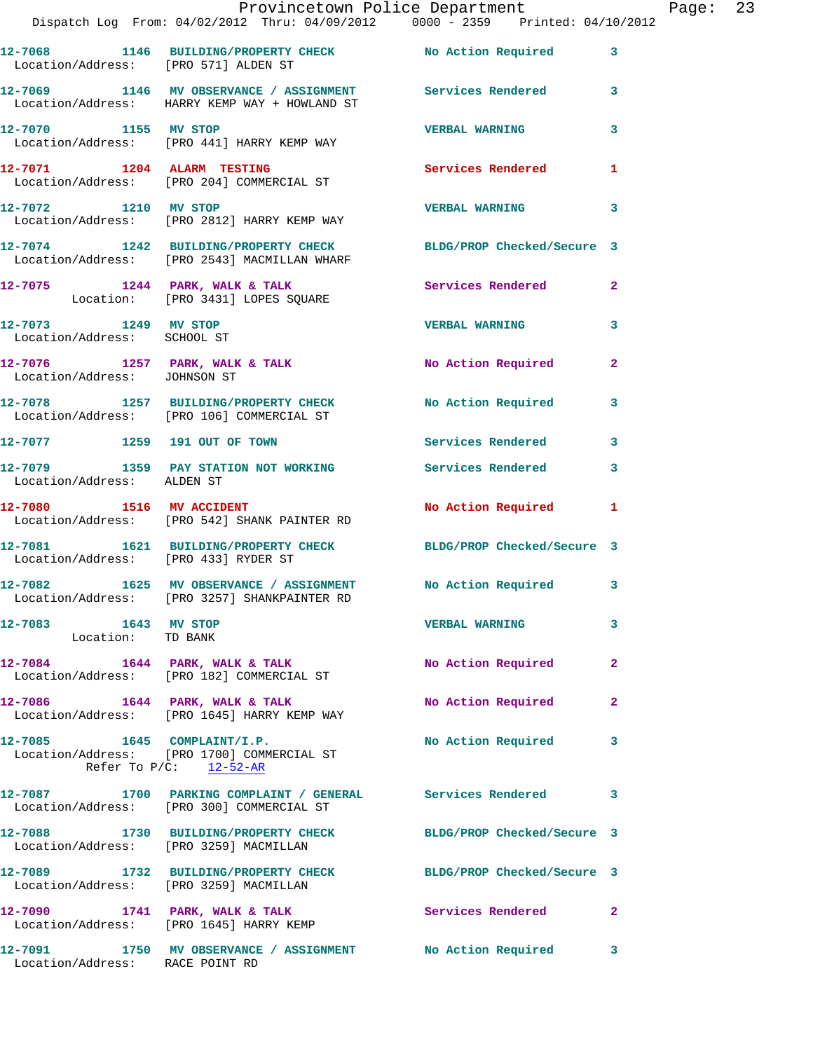|                                                     | Dispatch Log From: 04/02/2012 Thru: 04/09/2012 0000 - 2359 Printed: 04/10/2012                                           | Provincetown Police Department |              | Page: 23 |  |
|-----------------------------------------------------|--------------------------------------------------------------------------------------------------------------------------|--------------------------------|--------------|----------|--|
| Location/Address: [PRO 571] ALDEN ST                | 12-7068 1146 BUILDING/PROPERTY CHECK No Action Required 3                                                                |                                |              |          |  |
|                                                     | 12-7069 1146 MV OBSERVANCE / ASSIGNMENT Services Rendered 3<br>Location/Address: HARRY KEMP WAY + HOWLAND ST             |                                |              |          |  |
|                                                     | 12-7070 1155 MV STOP<br>Location/Address: [PRO 441] HARRY KEMP WAY                                                       | <b>VERBAL WARNING</b>          | 3            |          |  |
|                                                     | 12-7071 1204 ALARM TESTING 120 Services Rendered<br>Location/Address: [PRO 204] COMMERCIAL ST                            |                                | $\mathbf{1}$ |          |  |
|                                                     | 12-7072 1210 MV STOP<br>Location/Address: [PRO 2812] HARRY KEMP WAY                                                      | <b>VERBAL WARNING</b>          | 3            |          |  |
|                                                     | 12-7074 1242 BUILDING/PROPERTY CHECK BLDG/PROP Checked/Secure 3<br>Location/Address: [PRO 2543] MACMILLAN WHARF          |                                |              |          |  |
|                                                     | 12-7075 1244 PARK, WALK & TALK SERVICES Rendered 2<br>Location: [PRO 3431] LOPES SQUARE                                  |                                |              |          |  |
| 12-7073 1249 MV STOP<br>Location/Address: SCHOOL ST |                                                                                                                          | <b>VERBAL WARNING</b>          | 3            |          |  |
| Location/Address: JOHNSON ST                        | 12-7076 1257 PARK, WALK & TALK NO Action Required 2                                                                      |                                |              |          |  |
|                                                     | 12-7078 1257 BUILDING/PROPERTY CHECK No Action Required 3<br>Location/Address: [PRO 106] COMMERCIAL ST                   |                                |              |          |  |
|                                                     | 12-7077 1259 191 OUT OF TOWN Services Rendered 3                                                                         |                                |              |          |  |
| Location/Address: ALDEN ST                          | 12-7079 1359 PAY STATION NOT WORKING Services Rendered                                                                   |                                | 3            |          |  |
|                                                     | 12-7080 1516 MV ACCIDENT<br>Location/Address: [PRO 542] SHANK PAINTER RD                                                 | No Action Required 1           |              |          |  |
| Location/Address: [PRO 433] RYDER ST                | 12-7081 1621 BUILDING/PROPERTY CHECK BLDG/PROP Checked/Secure 3                                                          |                                |              |          |  |
|                                                     | 12-7082 1625 MV OBSERVANCE / ASSIGNMENT No Action Required 3<br>Location/Address: [PRO 3257] SHANKPAINTER RD             |                                |              |          |  |
| 12-7083 1643 MV STOP<br>Location: TD BANK           |                                                                                                                          | <b>VERBAL WARNING</b>          | 3            |          |  |
|                                                     | 12-7084 1644 PARK, WALK & TALK<br>Location/Address: [PRO 182] COMMERCIAL ST                                              | No Action Required             | 2            |          |  |
|                                                     | 12-7086 1644 PARK, WALK & TALK<br>Location/Address: [PRO 1645] HARRY KEMP WAY                                            | No Action Required             | 2            |          |  |
|                                                     | 12-7085    1645    COMPLAINT/I.P.<br>Location/Address: [PRO 1700] COMMERCIAL ST<br>Refer To $P/C$ : $\frac{12-52-AR}{2}$ | No Action Required             | 3            |          |  |
|                                                     | 12-7087 1700 PARKING COMPLAINT / GENERAL Services Rendered<br>Location/Address: [PRO 300] COMMERCIAL ST                  |                                | 3            |          |  |
| Location/Address: [PRO 3259] MACMILLAN              | 12-7088 1730 BUILDING/PROPERTY CHECK BLDG/PROP Checked/Secure 3                                                          |                                |              |          |  |
| Location/Address: [PRO 3259] MACMILLAN              | 12-7089 1732 BUILDING/PROPERTY CHECK BLDG/PROP Checked/Secure 3                                                          |                                |              |          |  |
|                                                     | 12-7090 1741 PARK, WALK & TALK Services Rendered 2<br>Location/Address: [PRO 1645] HARRY KEMP                            |                                |              |          |  |
| Location/Address: RACE POINT RD                     | 12-7091 1750 MV OBSERVANCE / ASSIGNMENT No Action Required 3                                                             |                                |              |          |  |